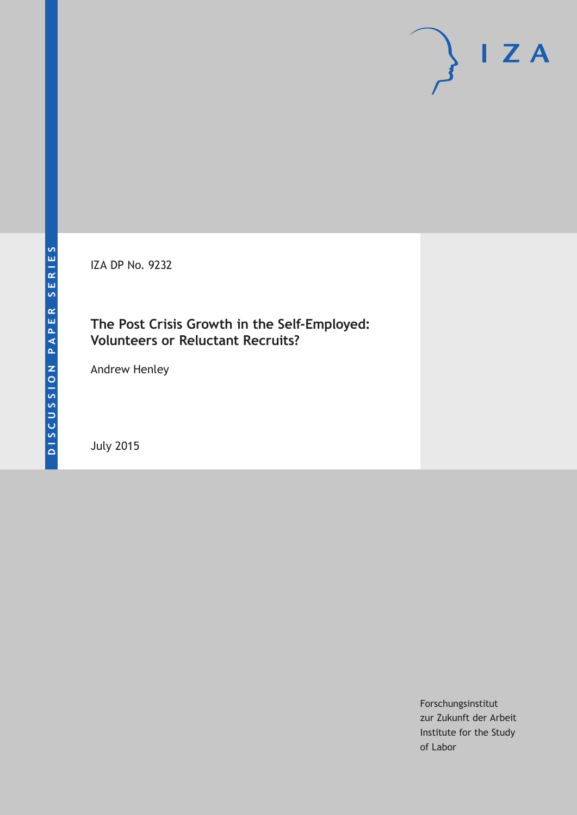IZA DP No. 9232

### **The Post Crisis Growth in the Self-Employed: Volunteers or Reluctant Recruits?**

Andrew Henley

July 2015

Forschungsinstitut zur Zukunft der Arbeit Institute for the Study of Labor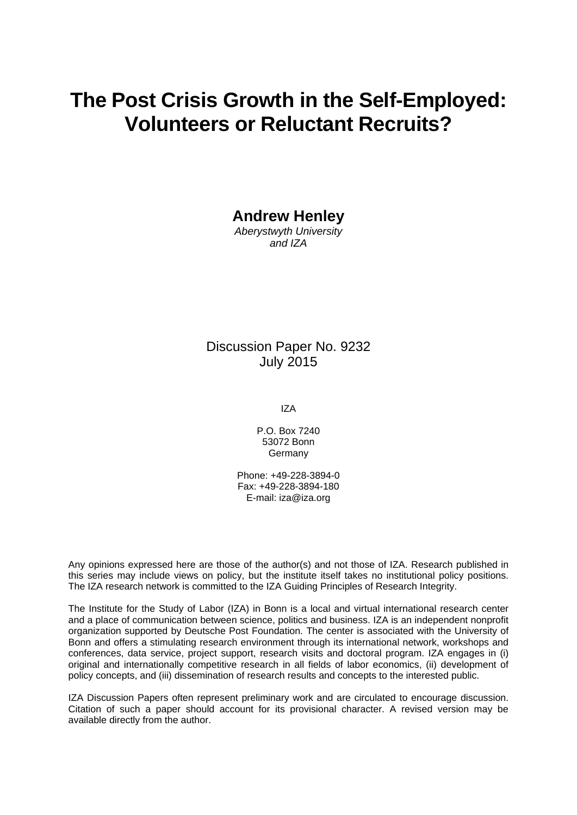# **The Post Crisis Growth in the Self-Employed: Volunteers or Reluctant Recruits?**

**Andrew Henley** 

*Aberystwyth University and IZA* 

### Discussion Paper No. 9232 July 2015

IZA

P.O. Box 7240 53072 Bonn Germany

Phone: +49-228-3894-0 Fax: +49-228-3894-180 E-mail: iza@iza.org

Any opinions expressed here are those of the author(s) and not those of IZA. Research published in this series may include views on policy, but the institute itself takes no institutional policy positions. The IZA research network is committed to the IZA Guiding Principles of Research Integrity.

The Institute for the Study of Labor (IZA) in Bonn is a local and virtual international research center and a place of communication between science, politics and business. IZA is an independent nonprofit organization supported by Deutsche Post Foundation. The center is associated with the University of Bonn and offers a stimulating research environment through its international network, workshops and conferences, data service, project support, research visits and doctoral program. IZA engages in (i) original and internationally competitive research in all fields of labor economics, (ii) development of policy concepts, and (iii) dissemination of research results and concepts to the interested public.

IZA Discussion Papers often represent preliminary work and are circulated to encourage discussion. Citation of such a paper should account for its provisional character. A revised version may be available directly from the author.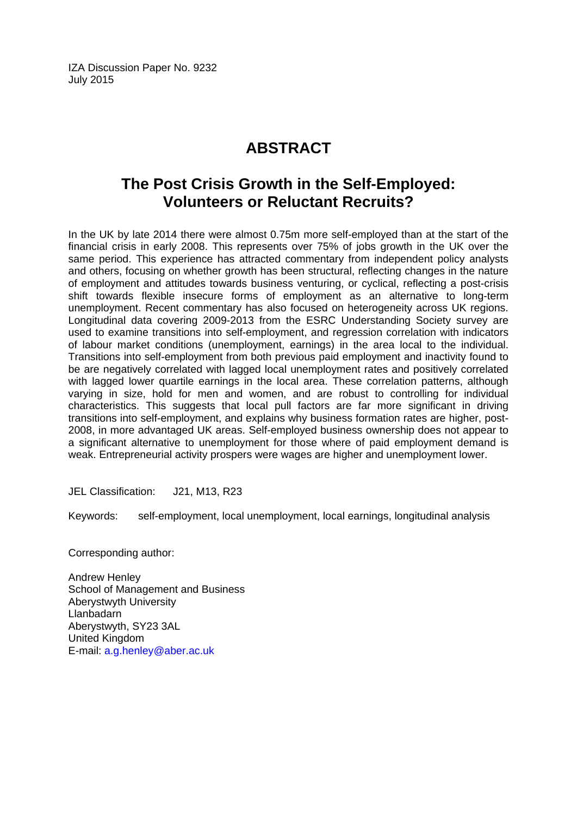IZA Discussion Paper No. 9232 July 2015

# **ABSTRACT**

# **The Post Crisis Growth in the Self-Employed: Volunteers or Reluctant Recruits?**

In the UK by late 2014 there were almost 0.75m more self-employed than at the start of the financial crisis in early 2008. This represents over 75% of jobs growth in the UK over the same period. This experience has attracted commentary from independent policy analysts and others, focusing on whether growth has been structural, reflecting changes in the nature of employment and attitudes towards business venturing, or cyclical, reflecting a post-crisis shift towards flexible insecure forms of employment as an alternative to long-term unemployment. Recent commentary has also focused on heterogeneity across UK regions. Longitudinal data covering 2009-2013 from the ESRC Understanding Society survey are used to examine transitions into self-employment, and regression correlation with indicators of labour market conditions (unemployment, earnings) in the area local to the individual. Transitions into self-employment from both previous paid employment and inactivity found to be are negatively correlated with lagged local unemployment rates and positively correlated with lagged lower quartile earnings in the local area. These correlation patterns, although varying in size, hold for men and women, and are robust to controlling for individual characteristics. This suggests that local pull factors are far more significant in driving transitions into self-employment, and explains why business formation rates are higher, post-2008, in more advantaged UK areas. Self-employed business ownership does not appear to a significant alternative to unemployment for those where of paid employment demand is weak. Entrepreneurial activity prospers were wages are higher and unemployment lower.

JEL Classification: J21, M13, R23

Keywords: self-employment, local unemployment, local earnings, longitudinal analysis

Corresponding author:

Andrew Henley School of Management and Business Aberystwyth University Llanbadarn Aberystwyth, SY23 3AL United Kingdom E-mail: a.g.henley@aber.ac.uk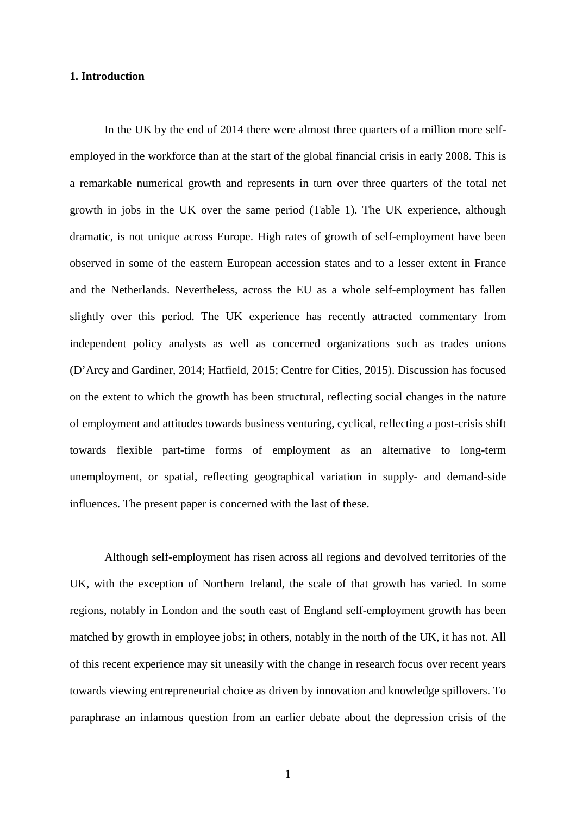#### **1. Introduction**

In the UK by the end of 2014 there were almost three quarters of a million more selfemployed in the workforce than at the start of the global financial crisis in early 2008. This is a remarkable numerical growth and represents in turn over three quarters of the total net growth in jobs in the UK over the same period (Table 1). The UK experience, although dramatic, is not unique across Europe. High rates of growth of self-employment have been observed in some of the eastern European accession states and to a lesser extent in France and the Netherlands. Nevertheless, across the EU as a whole self-employment has fallen slightly over this period. The UK experience has recently attracted commentary from independent policy analysts as well as concerned organizations such as trades unions (D'Arcy and Gardiner, 2014; Hatfield, 2015; Centre for Cities, 2015). Discussion has focused on the extent to which the growth has been structural, reflecting social changes in the nature of employment and attitudes towards business venturing, cyclical, reflecting a post-crisis shift towards flexible part-time forms of employment as an alternative to long-term unemployment, or spatial, reflecting geographical variation in supply- and demand-side influences. The present paper is concerned with the last of these.

Although self-employment has risen across all regions and devolved territories of the UK, with the exception of Northern Ireland, the scale of that growth has varied. In some regions, notably in London and the south east of England self-employment growth has been matched by growth in employee jobs; in others, notably in the north of the UK, it has not. All of this recent experience may sit uneasily with the change in research focus over recent years towards viewing entrepreneurial choice as driven by innovation and knowledge spillovers. To paraphrase an infamous question from an earlier debate about the depression crisis of the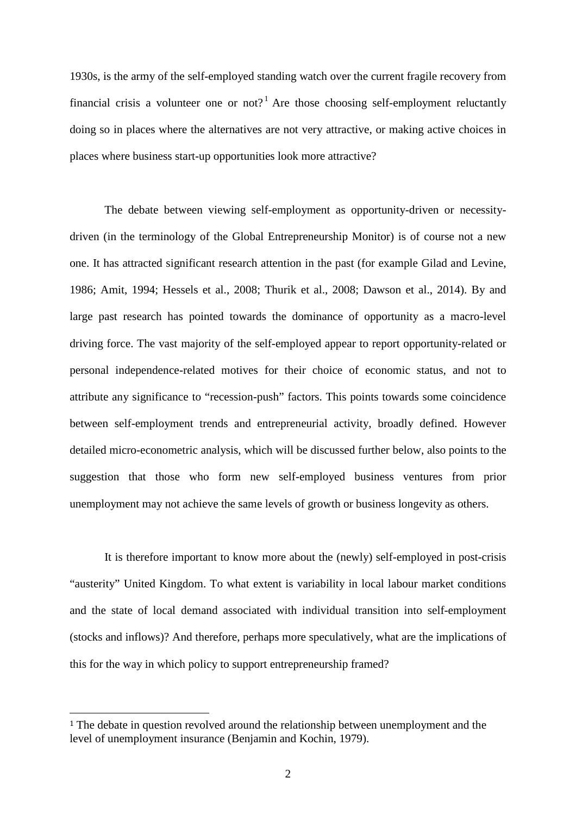1930s, is the army of the self-employed standing watch over the current fragile recovery from financial crisis a volunteer one or not?<sup>[1](#page-30-0)</sup> Are those choosing self-employment reluctantly doing so in places where the alternatives are not very attractive, or making active choices in places where business start-up opportunities look more attractive?

The debate between viewing self-employment as opportunity-driven or necessitydriven (in the terminology of the Global Entrepreneurship Monitor) is of course not a new one. It has attracted significant research attention in the past (for example Gilad and Levine, 1986; Amit, 1994; Hessels et al., 2008; Thurik et al., 2008; Dawson et al., 2014). By and large past research has pointed towards the dominance of opportunity as a macro-level driving force. The vast majority of the self-employed appear to report opportunity-related or personal independence-related motives for their choice of economic status, and not to attribute any significance to "recession-push" factors. This points towards some coincidence between self-employment trends and entrepreneurial activity, broadly defined. However detailed micro-econometric analysis, which will be discussed further below, also points to the suggestion that those who form new self-employed business ventures from prior unemployment may not achieve the same levels of growth or business longevity as others.

It is therefore important to know more about the (newly) self-employed in post-crisis "austerity" United Kingdom. To what extent is variability in local labour market conditions and the state of local demand associated with individual transition into self-employment (stocks and inflows)? And therefore, perhaps more speculatively, what are the implications of this for the way in which policy to support entrepreneurship framed?

<span id="page-4-0"></span> <sup>1</sup> The debate in question revolved around the relationship between unemployment and the level of unemployment insurance (Benjamin and Kochin, 1979).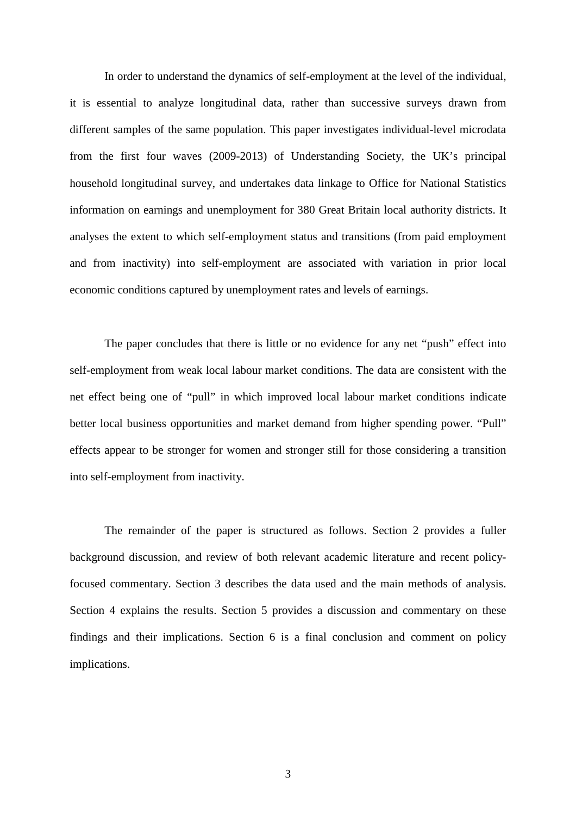In order to understand the dynamics of self-employment at the level of the individual, it is essential to analyze longitudinal data, rather than successive surveys drawn from different samples of the same population. This paper investigates individual-level microdata from the first four waves (2009-2013) of Understanding Society, the UK's principal household longitudinal survey, and undertakes data linkage to Office for National Statistics information on earnings and unemployment for 380 Great Britain local authority districts. It analyses the extent to which self-employment status and transitions (from paid employment and from inactivity) into self-employment are associated with variation in prior local economic conditions captured by unemployment rates and levels of earnings.

The paper concludes that there is little or no evidence for any net "push" effect into self-employment from weak local labour market conditions. The data are consistent with the net effect being one of "pull" in which improved local labour market conditions indicate better local business opportunities and market demand from higher spending power. "Pull" effects appear to be stronger for women and stronger still for those considering a transition into self-employment from inactivity.

The remainder of the paper is structured as follows. Section 2 provides a fuller background discussion, and review of both relevant academic literature and recent policyfocused commentary. Section 3 describes the data used and the main methods of analysis. Section 4 explains the results. Section 5 provides a discussion and commentary on these findings and their implications. Section 6 is a final conclusion and comment on policy implications.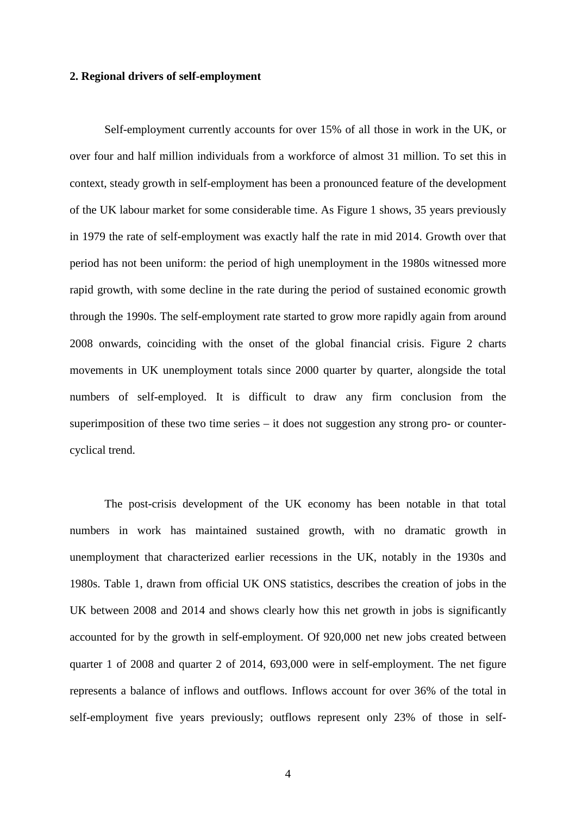#### **2. Regional drivers of self-employment**

Self-employment currently accounts for over 15% of all those in work in the UK, or over four and half million individuals from a workforce of almost 31 million. To set this in context, steady growth in self-employment has been a pronounced feature of the development of the UK labour market for some considerable time. As Figure 1 shows, 35 years previously in 1979 the rate of self-employment was exactly half the rate in mid 2014. Growth over that period has not been uniform: the period of high unemployment in the 1980s witnessed more rapid growth, with some decline in the rate during the period of sustained economic growth through the 1990s. The self-employment rate started to grow more rapidly again from around 2008 onwards, coinciding with the onset of the global financial crisis. Figure 2 charts movements in UK unemployment totals since 2000 quarter by quarter, alongside the total numbers of self-employed. It is difficult to draw any firm conclusion from the superimposition of these two time series – it does not suggestion any strong pro- or countercyclical trend.

The post-crisis development of the UK economy has been notable in that total numbers in work has maintained sustained growth, with no dramatic growth in unemployment that characterized earlier recessions in the UK, notably in the 1930s and 1980s. Table 1, drawn from official UK ONS statistics, describes the creation of jobs in the UK between 2008 and 2014 and shows clearly how this net growth in jobs is significantly accounted for by the growth in self-employment. Of 920,000 net new jobs created between quarter 1 of 2008 and quarter 2 of 2014, 693,000 were in self-employment. The net figure represents a balance of inflows and outflows. Inflows account for over 36% of the total in self-employment five years previously; outflows represent only 23% of those in self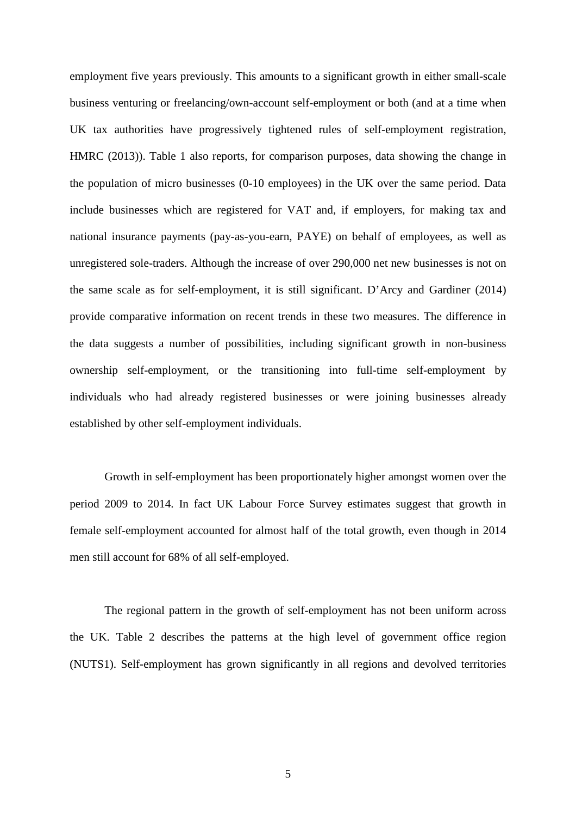employment five years previously. This amounts to a significant growth in either small-scale business venturing or freelancing/own-account self-employment or both (and at a time when UK tax authorities have progressively tightened rules of self-employment registration, HMRC (2013)). Table 1 also reports, for comparison purposes, data showing the change in the population of micro businesses (0-10 employees) in the UK over the same period. Data include businesses which are registered for VAT and, if employers, for making tax and national insurance payments (pay-as-you-earn, PAYE) on behalf of employees, as well as unregistered sole-traders. Although the increase of over 290,000 net new businesses is not on the same scale as for self-employment, it is still significant. D'Arcy and Gardiner (2014) provide comparative information on recent trends in these two measures. The difference in the data suggests a number of possibilities, including significant growth in non-business ownership self-employment, or the transitioning into full-time self-employment by individuals who had already registered businesses or were joining businesses already established by other self-employment individuals.

Growth in self-employment has been proportionately higher amongst women over the period 2009 to 2014. In fact UK Labour Force Survey estimates suggest that growth in female self-employment accounted for almost half of the total growth, even though in 2014 men still account for 68% of all self-employed.

The regional pattern in the growth of self-employment has not been uniform across the UK. Table 2 describes the patterns at the high level of government office region (NUTS1). Self-employment has grown significantly in all regions and devolved territories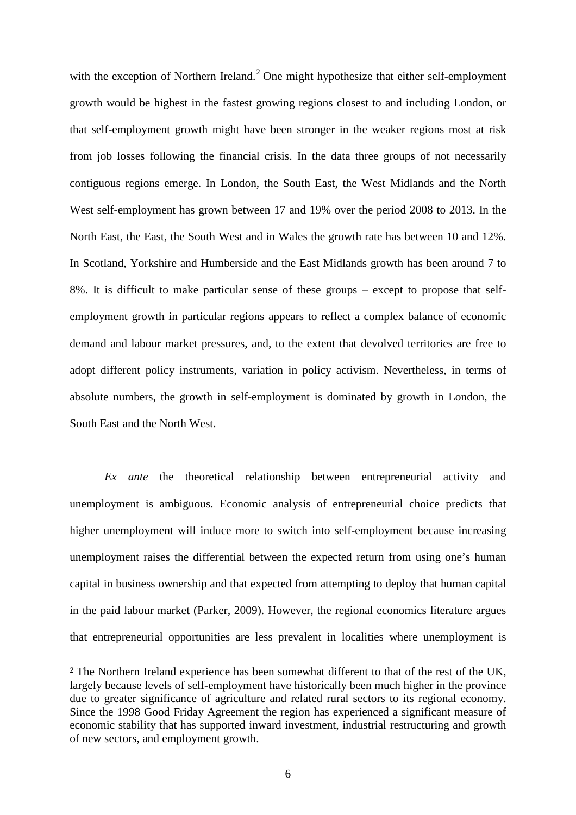with the exception of Northern Ireland.<sup>[2](#page-4-0)</sup> One might hypothesize that either self-employment growth would be highest in the fastest growing regions closest to and including London, or that self-employment growth might have been stronger in the weaker regions most at risk from job losses following the financial crisis. In the data three groups of not necessarily contiguous regions emerge. In London, the South East, the West Midlands and the North West self-employment has grown between 17 and 19% over the period 2008 to 2013. In the North East, the East, the South West and in Wales the growth rate has between 10 and 12%. In Scotland, Yorkshire and Humberside and the East Midlands growth has been around 7 to 8%. It is difficult to make particular sense of these groups – except to propose that selfemployment growth in particular regions appears to reflect a complex balance of economic demand and labour market pressures, and, to the extent that devolved territories are free to adopt different policy instruments, variation in policy activism. Nevertheless, in terms of absolute numbers, the growth in self-employment is dominated by growth in London, the South East and the North West.

*Ex ante* the theoretical relationship between entrepreneurial activity and unemployment is ambiguous. Economic analysis of entrepreneurial choice predicts that higher unemployment will induce more to switch into self-employment because increasing unemployment raises the differential between the expected return from using one's human capital in business ownership and that expected from attempting to deploy that human capital in the paid labour market (Parker, 2009). However, the regional economics literature argues that entrepreneurial opportunities are less prevalent in localities where unemployment is

<span id="page-8-0"></span> <sup>2</sup> The Northern Ireland experience has been somewhat different to that of the rest of the UK, largely because levels of self-employment have historically been much higher in the province due to greater significance of agriculture and related rural sectors to its regional economy. Since the 1998 Good Friday Agreement the region has experienced a significant measure of economic stability that has supported inward investment, industrial restructuring and growth of new sectors, and employment growth.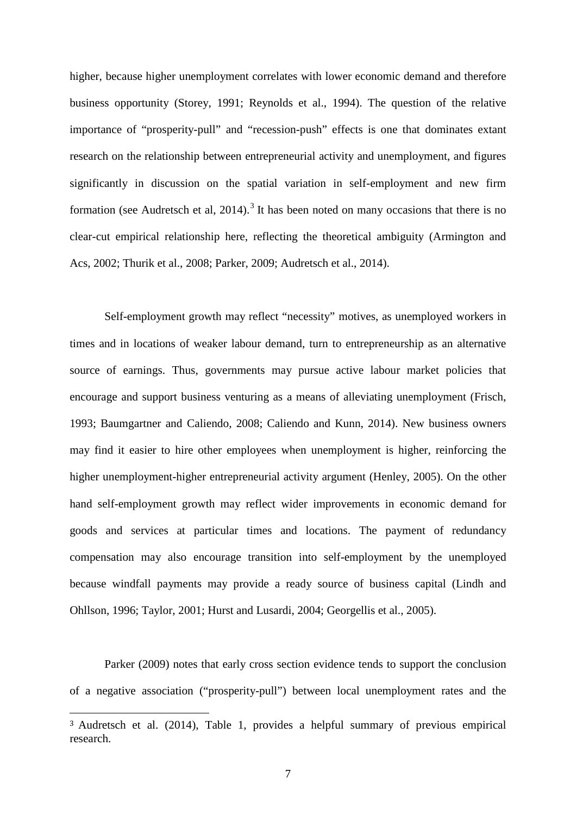higher, because higher unemployment correlates with lower economic demand and therefore business opportunity (Storey, 1991; Reynolds et al., 1994). The question of the relative importance of "prosperity-pull" and "recession-push" effects is one that dominates extant research on the relationship between entrepreneurial activity and unemployment, and figures significantly in discussion on the spatial variation in self-employment and new firm formation (see Audretsch et al,  $2014$ ).<sup>[3](#page-8-0)</sup> It has been noted on many occasions that there is no clear-cut empirical relationship here, reflecting the theoretical ambiguity (Armington and Acs, 2002; Thurik et al., 2008; Parker, 2009; Audretsch et al., 2014).

Self-employment growth may reflect "necessity" motives, as unemployed workers in times and in locations of weaker labour demand, turn to entrepreneurship as an alternative source of earnings. Thus, governments may pursue active labour market policies that encourage and support business venturing as a means of alleviating unemployment (Frisch, 1993; Baumgartner and Caliendo, 2008; Caliendo and Kunn, 2014). New business owners may find it easier to hire other employees when unemployment is higher, reinforcing the higher unemployment-higher entrepreneurial activity argument (Henley, 2005). On the other hand self-employment growth may reflect wider improvements in economic demand for goods and services at particular times and locations. The payment of redundancy compensation may also encourage transition into self-employment by the unemployed because windfall payments may provide a ready source of business capital (Lindh and Ohllson, 1996; Taylor, 2001; Hurst and Lusardi, 2004; Georgellis et al., 2005).

<span id="page-9-0"></span>Parker (2009) notes that early cross section evidence tends to support the conclusion of a negative association ("prosperity-pull") between local unemployment rates and the

 <sup>3</sup> Audretsch et al. (2014), Table 1, provides a helpful summary of previous empirical research.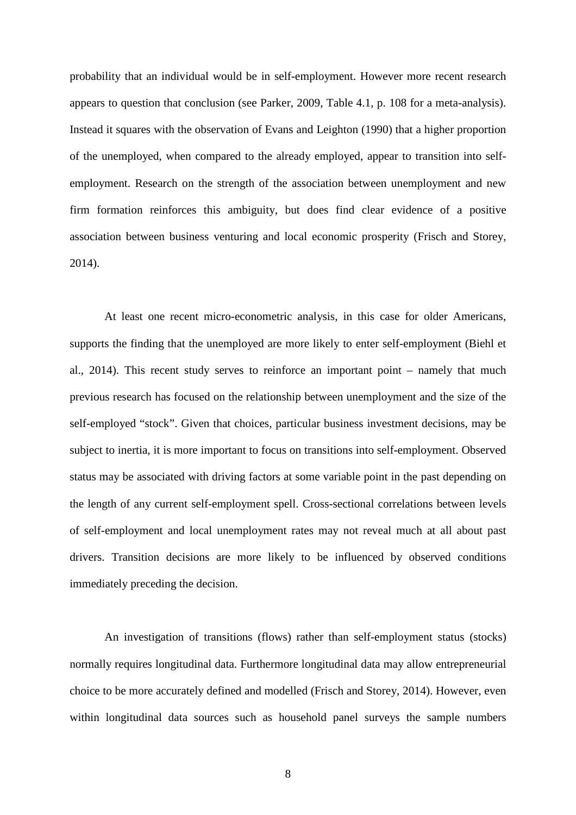probability that an individual would be in self-employment. However more recent research appears to question that conclusion (see Parker, 2009, Table 4.1, p. 108 for a meta-analysis). Instead it squares with the observation of Evans and Leighton (1990) that a higher proportion of the unemployed, when compared to the already employed, appear to transition into selfemployment. Research on the strength of the association between unemployment and new firm formation reinforces this ambiguity, but does find clear evidence of a positive association between business venturing and local economic prosperity (Frisch and Storey, 2014).

At least one recent micro-econometric analysis, in this case for older Americans, supports the finding that the unemployed are more likely to enter self-employment (Biehl et al., 2014). This recent study serves to reinforce an important point – namely that much previous research has focused on the relationship between unemployment and the size of the self-employed "stock". Given that choices, particular business investment decisions, may be subject to inertia, it is more important to focus on transitions into self-employment. Observed status may be associated with driving factors at some variable point in the past depending on the length of any current self-employment spell. Cross-sectional correlations between levels of self-employment and local unemployment rates may not reveal much at all about past drivers. Transition decisions are more likely to be influenced by observed conditions immediately preceding the decision.

An investigation of transitions (flows) rather than self-employment status (stocks) normally requires longitudinal data. Furthermore longitudinal data may allow entrepreneurial choice to be more accurately defined and modelled (Frisch and Storey, 2014). However, even within longitudinal data sources such as household panel surveys the sample numbers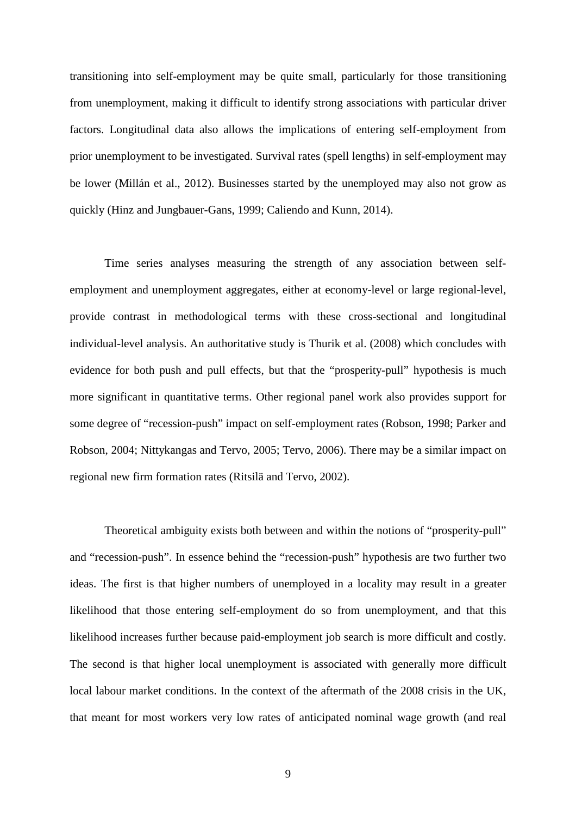transitioning into self-employment may be quite small, particularly for those transitioning from unemployment, making it difficult to identify strong associations with particular driver factors. Longitudinal data also allows the implications of entering self-employment from prior unemployment to be investigated. Survival rates (spell lengths) in self-employment may be lower (Millán et al., 2012). Businesses started by the unemployed may also not grow as quickly (Hinz and Jungbauer-Gans, 1999; Caliendo and Kunn, 2014).

Time series analyses measuring the strength of any association between selfemployment and unemployment aggregates, either at economy-level or large regional-level, provide contrast in methodological terms with these cross-sectional and longitudinal individual-level analysis. An authoritative study is Thurik et al. (2008) which concludes with evidence for both push and pull effects, but that the "prosperity-pull" hypothesis is much more significant in quantitative terms. Other regional panel work also provides support for some degree of "recession-push" impact on self-employment rates (Robson, 1998; Parker and Robson, 2004; Nittykangas and Tervo, 2005; Tervo, 2006). There may be a similar impact on regional new firm formation rates (Ritsilä and Tervo, 2002).

Theoretical ambiguity exists both between and within the notions of "prosperity-pull" and "recession-push". In essence behind the "recession-push" hypothesis are two further two ideas. The first is that higher numbers of unemployed in a locality may result in a greater likelihood that those entering self-employment do so from unemployment, and that this likelihood increases further because paid-employment job search is more difficult and costly. The second is that higher local unemployment is associated with generally more difficult local labour market conditions. In the context of the aftermath of the 2008 crisis in the UK, that meant for most workers very low rates of anticipated nominal wage growth (and real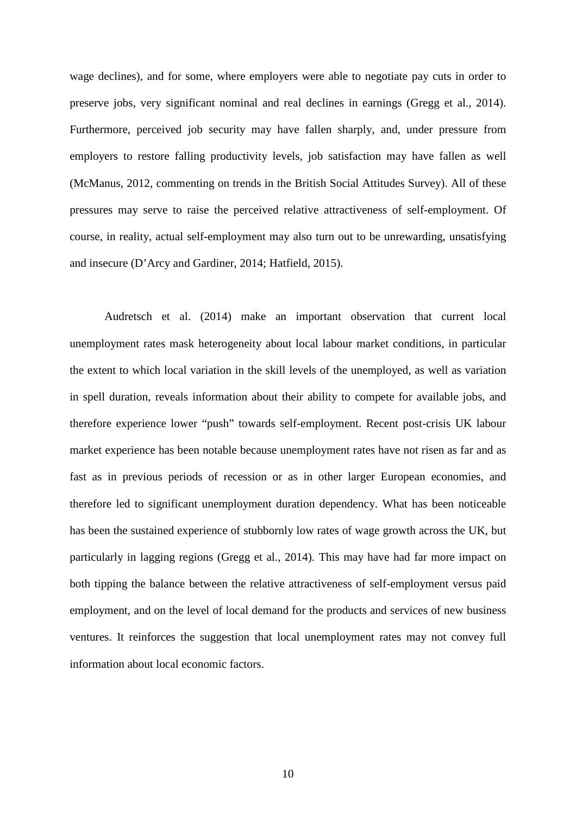wage declines), and for some, where employers were able to negotiate pay cuts in order to preserve jobs, very significant nominal and real declines in earnings (Gregg et al., 2014). Furthermore, perceived job security may have fallen sharply, and, under pressure from employers to restore falling productivity levels, job satisfaction may have fallen as well (McManus, 2012, commenting on trends in the British Social Attitudes Survey). All of these pressures may serve to raise the perceived relative attractiveness of self-employment. Of course, in reality, actual self-employment may also turn out to be unrewarding, unsatisfying and insecure (D'Arcy and Gardiner, 2014; Hatfield, 2015).

Audretsch et al. (2014) make an important observation that current local unemployment rates mask heterogeneity about local labour market conditions, in particular the extent to which local variation in the skill levels of the unemployed, as well as variation in spell duration, reveals information about their ability to compete for available jobs, and therefore experience lower "push" towards self-employment. Recent post-crisis UK labour market experience has been notable because unemployment rates have not risen as far and as fast as in previous periods of recession or as in other larger European economies, and therefore led to significant unemployment duration dependency. What has been noticeable has been the sustained experience of stubbornly low rates of wage growth across the UK, but particularly in lagging regions (Gregg et al., 2014). This may have had far more impact on both tipping the balance between the relative attractiveness of self-employment versus paid employment, and on the level of local demand for the products and services of new business ventures. It reinforces the suggestion that local unemployment rates may not convey full information about local economic factors.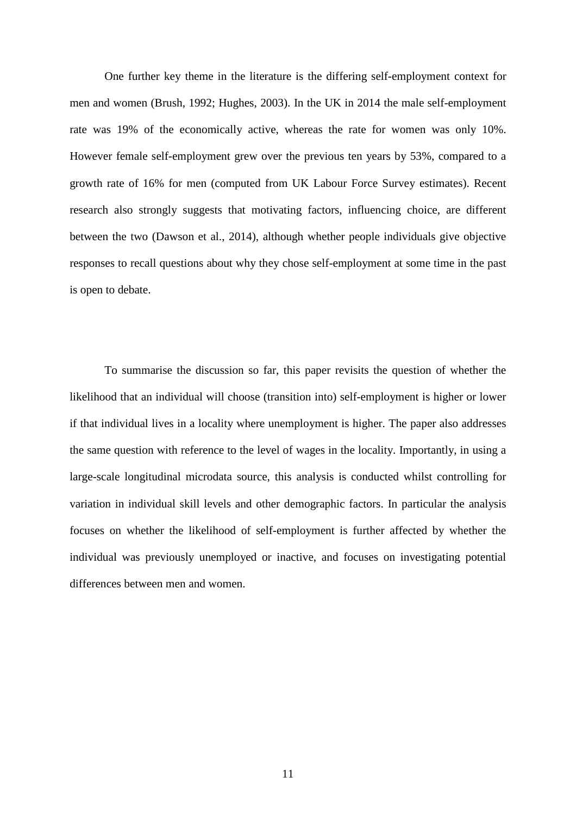One further key theme in the literature is the differing self-employment context for men and women (Brush, 1992; Hughes, 2003). In the UK in 2014 the male self-employment rate was 19% of the economically active, whereas the rate for women was only 10%. However female self-employment grew over the previous ten years by 53%, compared to a growth rate of 16% for men (computed from UK Labour Force Survey estimates). Recent research also strongly suggests that motivating factors, influencing choice, are different between the two (Dawson et al., 2014), although whether people individuals give objective responses to recall questions about why they chose self-employment at some time in the past is open to debate.

To summarise the discussion so far, this paper revisits the question of whether the likelihood that an individual will choose (transition into) self-employment is higher or lower if that individual lives in a locality where unemployment is higher. The paper also addresses the same question with reference to the level of wages in the locality. Importantly, in using a large-scale longitudinal microdata source, this analysis is conducted whilst controlling for variation in individual skill levels and other demographic factors. In particular the analysis focuses on whether the likelihood of self-employment is further affected by whether the individual was previously unemployed or inactive, and focuses on investigating potential differences between men and women.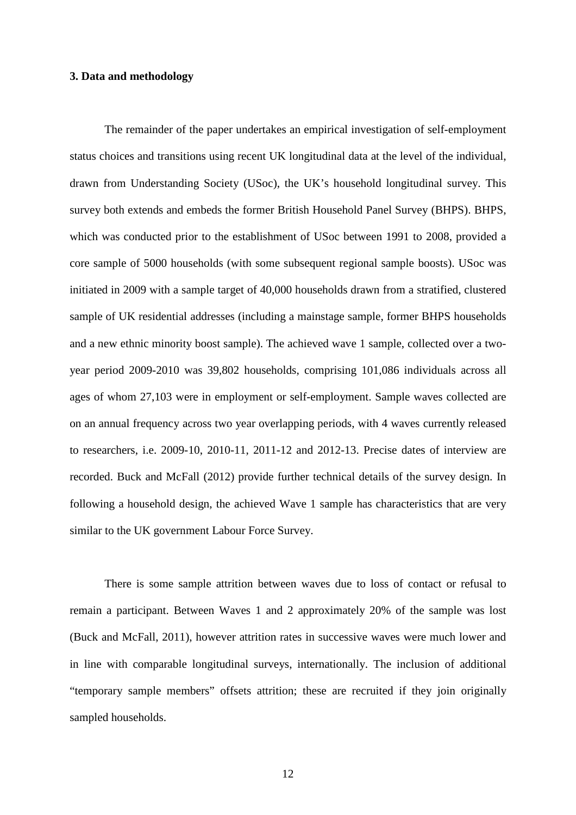#### **3. Data and methodology**

The remainder of the paper undertakes an empirical investigation of self-employment status choices and transitions using recent UK longitudinal data at the level of the individual, drawn from Understanding Society (USoc), the UK's household longitudinal survey. This survey both extends and embeds the former British Household Panel Survey (BHPS). BHPS, which was conducted prior to the establishment of USoc between 1991 to 2008, provided a core sample of 5000 households (with some subsequent regional sample boosts). USoc was initiated in 2009 with a sample target of 40,000 households drawn from a stratified, clustered sample of UK residential addresses (including a mainstage sample, former BHPS households and a new ethnic minority boost sample). The achieved wave 1 sample, collected over a twoyear period 2009-2010 was 39,802 households, comprising 101,086 individuals across all ages of whom 27,103 were in employment or self-employment. Sample waves collected are on an annual frequency across two year overlapping periods, with 4 waves currently released to researchers, i.e. 2009-10, 2010-11, 2011-12 and 2012-13. Precise dates of interview are recorded. Buck and McFall (2012) provide further technical details of the survey design. In following a household design, the achieved Wave 1 sample has characteristics that are very similar to the UK government Labour Force Survey.

There is some sample attrition between waves due to loss of contact or refusal to remain a participant. Between Waves 1 and 2 approximately 20% of the sample was lost (Buck and McFall, 2011), however attrition rates in successive waves were much lower and in line with comparable longitudinal surveys, internationally. The inclusion of additional "temporary sample members" offsets attrition; these are recruited if they join originally sampled households.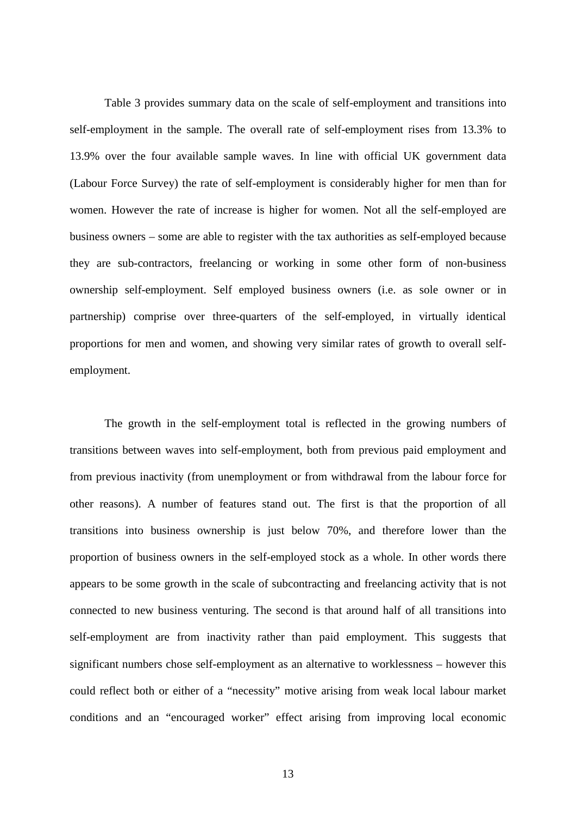Table 3 provides summary data on the scale of self-employment and transitions into self-employment in the sample. The overall rate of self-employment rises from 13.3% to 13.9% over the four available sample waves. In line with official UK government data (Labour Force Survey) the rate of self-employment is considerably higher for men than for women. However the rate of increase is higher for women. Not all the self-employed are business owners – some are able to register with the tax authorities as self-employed because they are sub-contractors, freelancing or working in some other form of non-business ownership self-employment. Self employed business owners (i.e. as sole owner or in partnership) comprise over three-quarters of the self-employed, in virtually identical proportions for men and women, and showing very similar rates of growth to overall selfemployment.

The growth in the self-employment total is reflected in the growing numbers of transitions between waves into self-employment, both from previous paid employment and from previous inactivity (from unemployment or from withdrawal from the labour force for other reasons). A number of features stand out. The first is that the proportion of all transitions into business ownership is just below 70%, and therefore lower than the proportion of business owners in the self-employed stock as a whole. In other words there appears to be some growth in the scale of subcontracting and freelancing activity that is not connected to new business venturing. The second is that around half of all transitions into self-employment are from inactivity rather than paid employment. This suggests that significant numbers chose self-employment as an alternative to worklessness – however this could reflect both or either of a "necessity" motive arising from weak local labour market conditions and an "encouraged worker" effect arising from improving local economic

13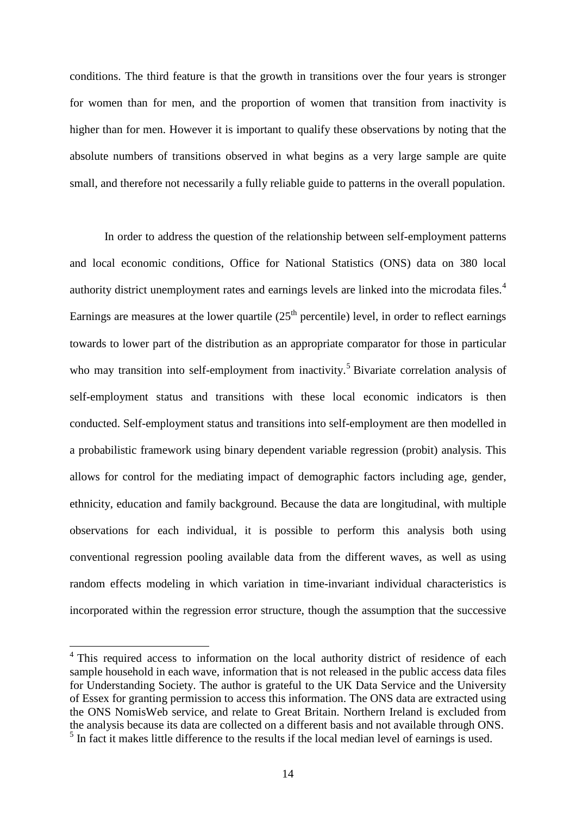conditions. The third feature is that the growth in transitions over the four years is stronger for women than for men, and the proportion of women that transition from inactivity is higher than for men. However it is important to qualify these observations by noting that the absolute numbers of transitions observed in what begins as a very large sample are quite small, and therefore not necessarily a fully reliable guide to patterns in the overall population.

In order to address the question of the relationship between self-employment patterns and local economic conditions, Office for National Statistics (ONS) data on 380 local authority district unemployment rates and earnings levels are linked into the microdata files.<sup>[4](#page-9-0)</sup> Earnings are measures at the lower quartile  $(25<sup>th</sup>$  percentile) level, in order to reflect earnings towards to lower part of the distribution as an appropriate comparator for those in particular who may transition into self-employment from inactivity.<sup>[5](#page-16-0)</sup> Bivariate correlation analysis of self-employment status and transitions with these local economic indicators is then conducted. Self-employment status and transitions into self-employment are then modelled in a probabilistic framework using binary dependent variable regression (probit) analysis. This allows for control for the mediating impact of demographic factors including age, gender, ethnicity, education and family background. Because the data are longitudinal, with multiple observations for each individual, it is possible to perform this analysis both using conventional regression pooling available data from the different waves, as well as using random effects modeling in which variation in time-invariant individual characteristics is incorporated within the regression error structure, though the assumption that the successive

<span id="page-16-1"></span><span id="page-16-0"></span><sup>&</sup>lt;sup>4</sup> This required access to information on the local authority district of residence of each sample household in each wave, information that is not released in the public access data files for Understanding Society. The author is grateful to the UK Data Service and the University of Essex for granting permission to access this information. The ONS data are extracted using the ONS NomisWeb service, and relate to Great Britain. Northern Ireland is excluded from the analysis because its data are collected on a different basis and not available through ONS.  $<sup>5</sup>$  In fact it makes little difference to the results if the local median level of earnings is used.</sup>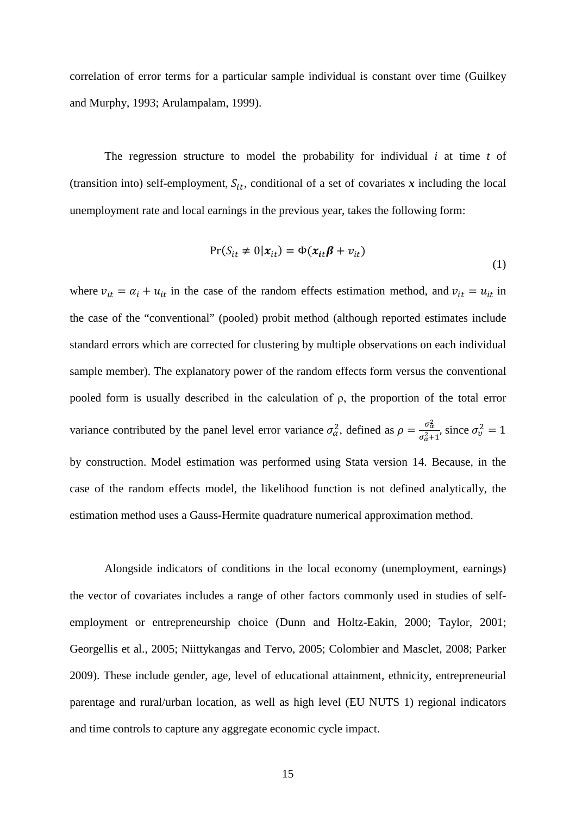correlation of error terms for a particular sample individual is constant over time (Guilkey and Murphy, 1993; Arulampalam, 1999).

The regression structure to model the probability for individual *i* at time *t* of (transition into) self-employment,  $S_{it}$ , conditional of a set of covariates x including the local unemployment rate and local earnings in the previous year, takes the following form:

$$
Pr(S_{it} \neq 0 | \mathbf{x}_{it}) = \Phi(\mathbf{x}_{it} \boldsymbol{\beta} + v_{it})
$$
\n(1)

where  $v_{it} = \alpha_i + u_{it}$  in the case of the random effects estimation method, and  $v_{it} = u_{it}$  in the case of the "conventional" (pooled) probit method (although reported estimates include standard errors which are corrected for clustering by multiple observations on each individual sample member). The explanatory power of the random effects form versus the conventional pooled form is usually described in the calculation of ρ, the proportion of the total error variance contributed by the panel level error variance  $\sigma_{\alpha}^2$ , defined as  $\rho = \frac{\sigma_{\alpha}^2}{\sigma_{\alpha}^2 + \sigma_{\alpha}^2}$  $\frac{\partial a}{\partial a^2+1}$ , since  $\sigma_v^2 = 1$ by construction. Model estimation was performed using Stata version 14. Because, in the case of the random effects model, the likelihood function is not defined analytically, the estimation method uses a Gauss-Hermite quadrature numerical approximation method.

Alongside indicators of conditions in the local economy (unemployment, earnings) the vector of covariates includes a range of other factors commonly used in studies of selfemployment or entrepreneurship choice (Dunn and Holtz-Eakin, 2000; Taylor, 2001; Georgellis et al., 2005; Niittykangas and Tervo, 2005; Colombier and Masclet, 2008; Parker 2009). These include gender, age, level of educational attainment, ethnicity, entrepreneurial parentage and rural/urban location, as well as high level (EU NUTS 1) regional indicators and time controls to capture any aggregate economic cycle impact.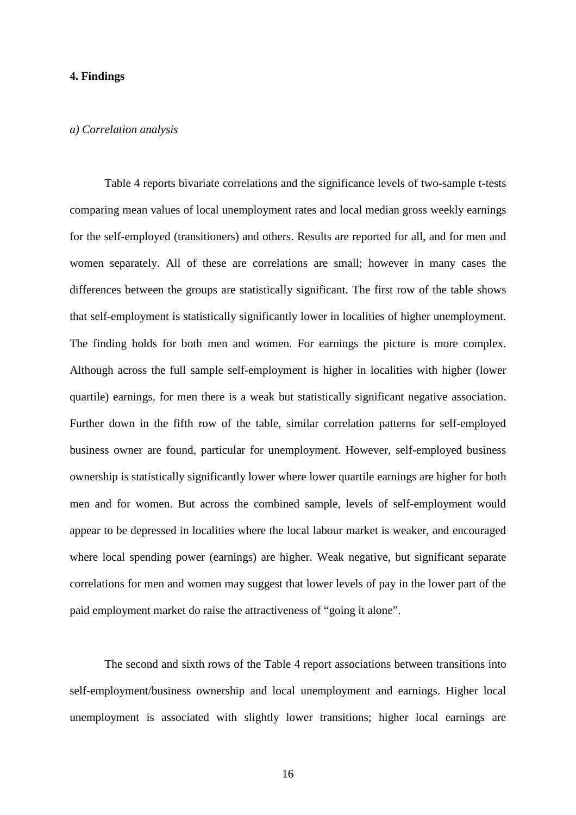#### **4. Findings**

#### *a) Correlation analysis*

Table 4 reports bivariate correlations and the significance levels of two-sample t-tests comparing mean values of local unemployment rates and local median gross weekly earnings for the self-employed (transitioners) and others. Results are reported for all, and for men and women separately. All of these are correlations are small; however in many cases the differences between the groups are statistically significant. The first row of the table shows that self-employment is statistically significantly lower in localities of higher unemployment. The finding holds for both men and women. For earnings the picture is more complex. Although across the full sample self-employment is higher in localities with higher (lower quartile) earnings, for men there is a weak but statistically significant negative association. Further down in the fifth row of the table, similar correlation patterns for self-employed business owner are found, particular for unemployment. However, self-employed business ownership is statistically significantly lower where lower quartile earnings are higher for both men and for women. But across the combined sample, levels of self-employment would appear to be depressed in localities where the local labour market is weaker, and encouraged where local spending power (earnings) are higher. Weak negative, but significant separate correlations for men and women may suggest that lower levels of pay in the lower part of the paid employment market do raise the attractiveness of "going it alone".

The second and sixth rows of the Table 4 report associations between transitions into self-employment/business ownership and local unemployment and earnings. Higher local unemployment is associated with slightly lower transitions; higher local earnings are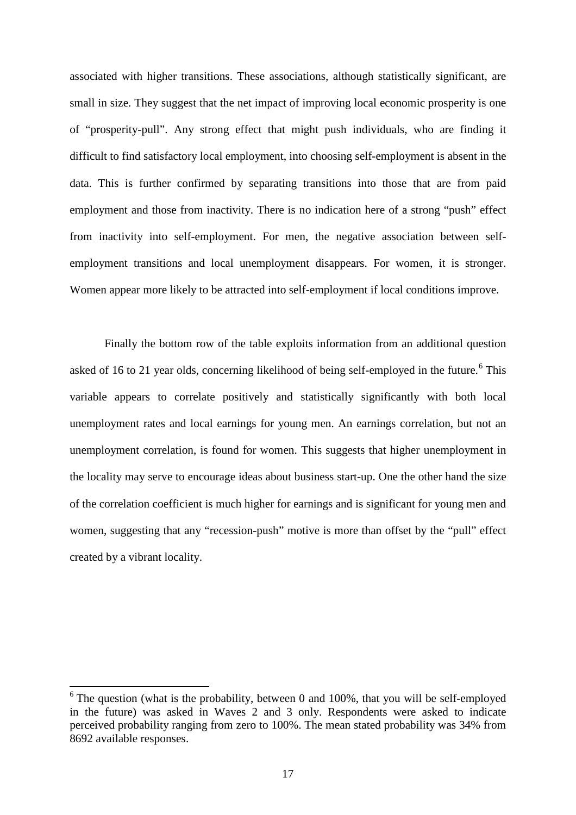associated with higher transitions. These associations, although statistically significant, are small in size. They suggest that the net impact of improving local economic prosperity is one of "prosperity-pull". Any strong effect that might push individuals, who are finding it difficult to find satisfactory local employment, into choosing self-employment is absent in the data. This is further confirmed by separating transitions into those that are from paid employment and those from inactivity. There is no indication here of a strong "push" effect from inactivity into self-employment. For men, the negative association between selfemployment transitions and local unemployment disappears. For women, it is stronger. Women appear more likely to be attracted into self-employment if local conditions improve.

Finally the bottom row of the table exploits information from an additional question asked of 1[6](#page-16-1) to 21 year olds, concerning likelihood of being self-employed in the future.<sup>6</sup> This variable appears to correlate positively and statistically significantly with both local unemployment rates and local earnings for young men. An earnings correlation, but not an unemployment correlation, is found for women. This suggests that higher unemployment in the locality may serve to encourage ideas about business start-up. One the other hand the size of the correlation coefficient is much higher for earnings and is significant for young men and women, suggesting that any "recession-push" motive is more than offset by the "pull" effect created by a vibrant locality.

<span id="page-19-0"></span> $6$  The question (what is the probability, between 0 and 100%, that you will be self-employed in the future) was asked in Waves 2 and 3 only. Respondents were asked to indicate perceived probability ranging from zero to 100%. The mean stated probability was 34% from 8692 available responses.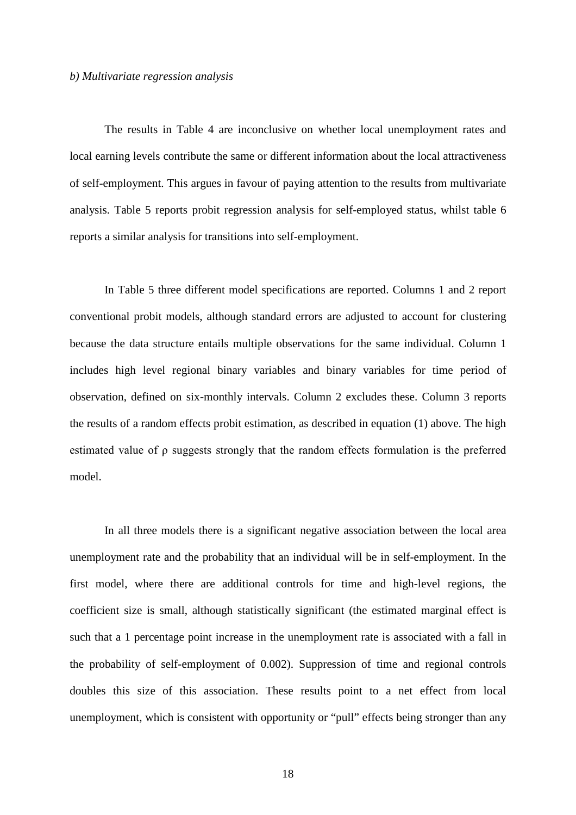#### *b) Multivariate regression analysis*

The results in Table 4 are inconclusive on whether local unemployment rates and local earning levels contribute the same or different information about the local attractiveness of self-employment. This argues in favour of paying attention to the results from multivariate analysis. Table 5 reports probit regression analysis for self-employed status, whilst table 6 reports a similar analysis for transitions into self-employment.

In Table 5 three different model specifications are reported. Columns 1 and 2 report conventional probit models, although standard errors are adjusted to account for clustering because the data structure entails multiple observations for the same individual. Column 1 includes high level regional binary variables and binary variables for time period of observation, defined on six-monthly intervals. Column 2 excludes these. Column 3 reports the results of a random effects probit estimation, as described in equation (1) above. The high estimated value of ρ suggests strongly that the random effects formulation is the preferred model.

In all three models there is a significant negative association between the local area unemployment rate and the probability that an individual will be in self-employment. In the first model, where there are additional controls for time and high-level regions, the coefficient size is small, although statistically significant (the estimated marginal effect is such that a 1 percentage point increase in the unemployment rate is associated with a fall in the probability of self-employment of 0.002). Suppression of time and regional controls doubles this size of this association. These results point to a net effect from local unemployment, which is consistent with opportunity or "pull" effects being stronger than any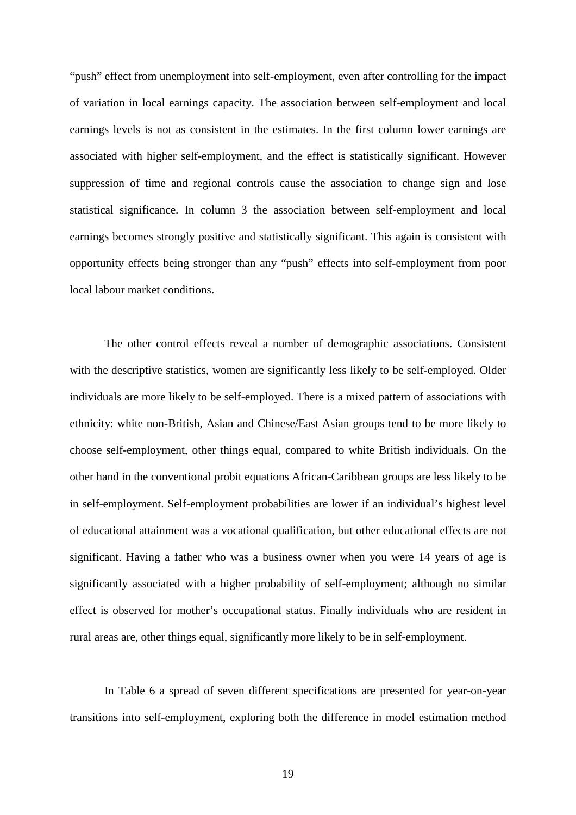"push" effect from unemployment into self-employment, even after controlling for the impact of variation in local earnings capacity. The association between self-employment and local earnings levels is not as consistent in the estimates. In the first column lower earnings are associated with higher self-employment, and the effect is statistically significant. However suppression of time and regional controls cause the association to change sign and lose statistical significance. In column 3 the association between self-employment and local earnings becomes strongly positive and statistically significant. This again is consistent with opportunity effects being stronger than any "push" effects into self-employment from poor local labour market conditions.

The other control effects reveal a number of demographic associations. Consistent with the descriptive statistics, women are significantly less likely to be self-employed. Older individuals are more likely to be self-employed. There is a mixed pattern of associations with ethnicity: white non-British, Asian and Chinese/East Asian groups tend to be more likely to choose self-employment, other things equal, compared to white British individuals. On the other hand in the conventional probit equations African-Caribbean groups are less likely to be in self-employment. Self-employment probabilities are lower if an individual's highest level of educational attainment was a vocational qualification, but other educational effects are not significant. Having a father who was a business owner when you were 14 years of age is significantly associated with a higher probability of self-employment; although no similar effect is observed for mother's occupational status. Finally individuals who are resident in rural areas are, other things equal, significantly more likely to be in self-employment.

In Table 6 a spread of seven different specifications are presented for year-on-year transitions into self-employment, exploring both the difference in model estimation method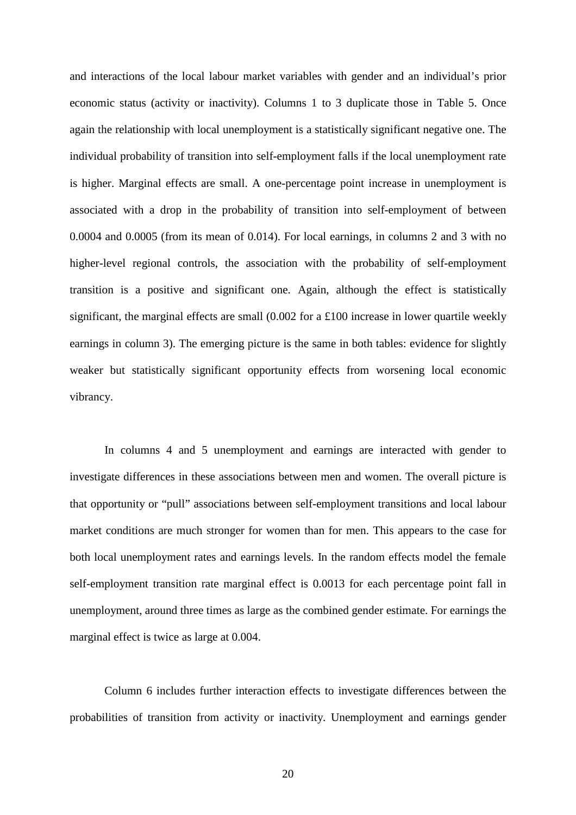and interactions of the local labour market variables with gender and an individual's prior economic status (activity or inactivity). Columns 1 to 3 duplicate those in Table 5. Once again the relationship with local unemployment is a statistically significant negative one. The individual probability of transition into self-employment falls if the local unemployment rate is higher. Marginal effects are small. A one-percentage point increase in unemployment is associated with a drop in the probability of transition into self-employment of between 0.0004 and 0.0005 (from its mean of 0.014). For local earnings, in columns 2 and 3 with no higher-level regional controls, the association with the probability of self-employment transition is a positive and significant one. Again, although the effect is statistically significant, the marginal effects are small  $(0.002$  for a £100 increase in lower quartile weekly earnings in column 3). The emerging picture is the same in both tables: evidence for slightly weaker but statistically significant opportunity effects from worsening local economic vibrancy.

In columns 4 and 5 unemployment and earnings are interacted with gender to investigate differences in these associations between men and women. The overall picture is that opportunity or "pull" associations between self-employment transitions and local labour market conditions are much stronger for women than for men. This appears to the case for both local unemployment rates and earnings levels. In the random effects model the female self-employment transition rate marginal effect is 0.0013 for each percentage point fall in unemployment, around three times as large as the combined gender estimate. For earnings the marginal effect is twice as large at 0.004.

Column 6 includes further interaction effects to investigate differences between the probabilities of transition from activity or inactivity. Unemployment and earnings gender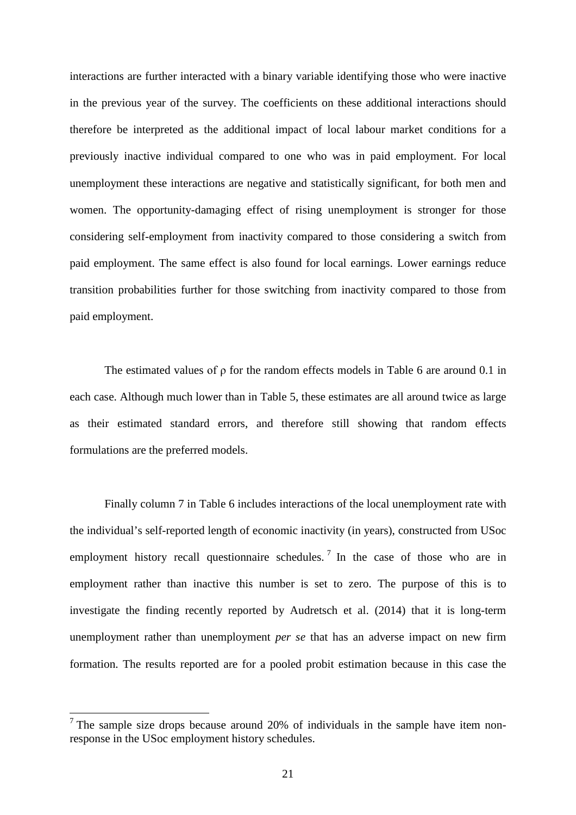interactions are further interacted with a binary variable identifying those who were inactive in the previous year of the survey. The coefficients on these additional interactions should therefore be interpreted as the additional impact of local labour market conditions for a previously inactive individual compared to one who was in paid employment. For local unemployment these interactions are negative and statistically significant, for both men and women. The opportunity-damaging effect of rising unemployment is stronger for those considering self-employment from inactivity compared to those considering a switch from paid employment. The same effect is also found for local earnings. Lower earnings reduce transition probabilities further for those switching from inactivity compared to those from paid employment.

The estimated values of  $\rho$  for the random effects models in Table 6 are around 0.1 in each case. Although much lower than in Table 5, these estimates are all around twice as large as their estimated standard errors, and therefore still showing that random effects formulations are the preferred models.

Finally column 7 in Table 6 includes interactions of the local unemployment rate with the individual's self-reported length of economic inactivity (in years), constructed from USoc employment history recall questionnaire schedules.<sup>[7](#page-19-0)</sup> In the case of those who are in employment rather than inactive this number is set to zero. The purpose of this is to investigate the finding recently reported by Audretsch et al. (2014) that it is long-term unemployment rather than unemployment *per se* that has an adverse impact on new firm formation. The results reported are for a pooled probit estimation because in this case the

<span id="page-23-0"></span> $<sup>7</sup>$  The sample size drops because around 20% of individuals in the sample have item non-</sup> response in the USoc employment history schedules.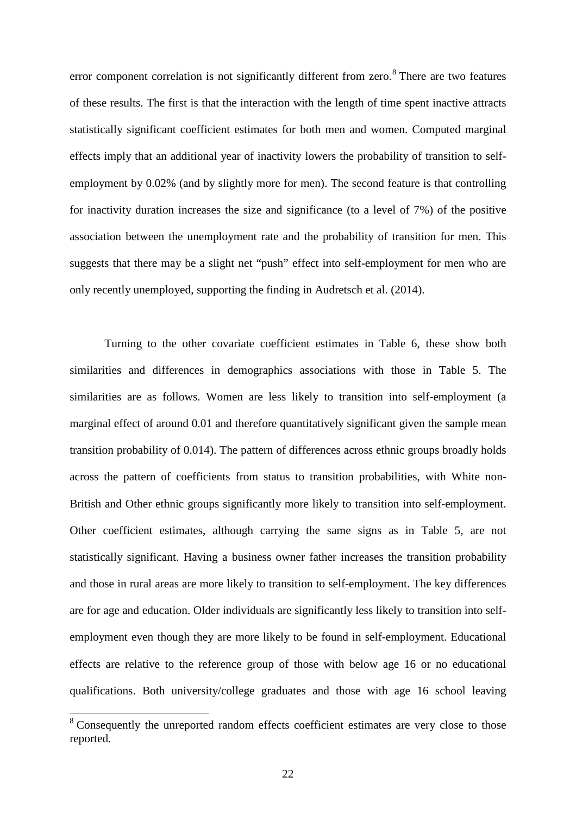error component correlation is not significantly different from zero.<sup>[8](#page-23-0)</sup> There are two features of these results. The first is that the interaction with the length of time spent inactive attracts statistically significant coefficient estimates for both men and women. Computed marginal effects imply that an additional year of inactivity lowers the probability of transition to selfemployment by 0.02% (and by slightly more for men). The second feature is that controlling for inactivity duration increases the size and significance (to a level of 7%) of the positive association between the unemployment rate and the probability of transition for men. This suggests that there may be a slight net "push" effect into self-employment for men who are only recently unemployed, supporting the finding in Audretsch et al. (2014).

Turning to the other covariate coefficient estimates in Table 6, these show both similarities and differences in demographics associations with those in Table 5. The similarities are as follows. Women are less likely to transition into self-employment (a marginal effect of around 0.01 and therefore quantitatively significant given the sample mean transition probability of 0.014). The pattern of differences across ethnic groups broadly holds across the pattern of coefficients from status to transition probabilities, with White non-British and Other ethnic groups significantly more likely to transition into self-employment. Other coefficient estimates, although carrying the same signs as in Table 5, are not statistically significant. Having a business owner father increases the transition probability and those in rural areas are more likely to transition to self-employment. The key differences are for age and education. Older individuals are significantly less likely to transition into selfemployment even though they are more likely to be found in self-employment. Educational effects are relative to the reference group of those with below age 16 or no educational qualifications. Both university/college graduates and those with age 16 school leaving

<span id="page-24-0"></span><sup>&</sup>lt;sup>8</sup> Consequently the unreported random effects coefficient estimates are very close to those reported.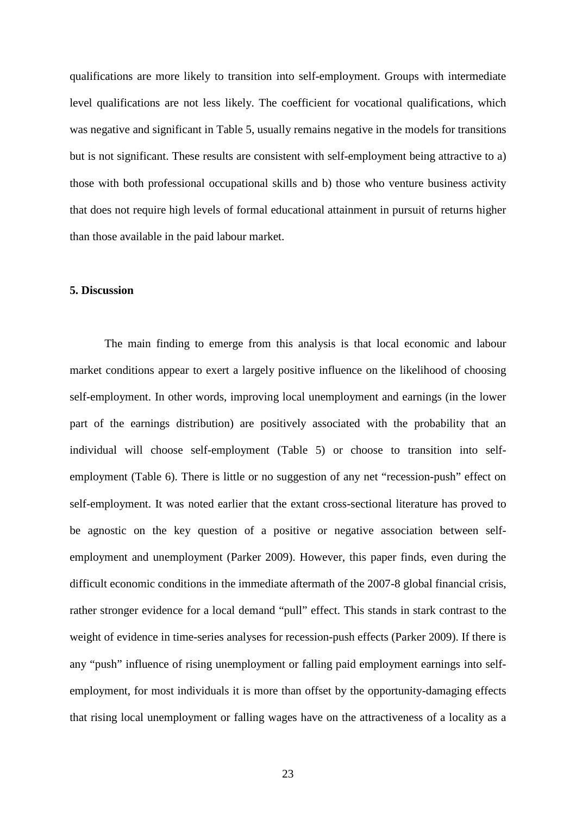qualifications are more likely to transition into self-employment. Groups with intermediate level qualifications are not less likely. The coefficient for vocational qualifications, which was negative and significant in Table 5, usually remains negative in the models for transitions but is not significant. These results are consistent with self-employment being attractive to a) those with both professional occupational skills and b) those who venture business activity that does not require high levels of formal educational attainment in pursuit of returns higher than those available in the paid labour market.

#### **5. Discussion**

The main finding to emerge from this analysis is that local economic and labour market conditions appear to exert a largely positive influence on the likelihood of choosing self-employment. In other words, improving local unemployment and earnings (in the lower part of the earnings distribution) are positively associated with the probability that an individual will choose self-employment (Table 5) or choose to transition into selfemployment (Table 6). There is little or no suggestion of any net "recession-push" effect on self-employment. It was noted earlier that the extant cross-sectional literature has proved to be agnostic on the key question of a positive or negative association between selfemployment and unemployment (Parker 2009). However, this paper finds, even during the difficult economic conditions in the immediate aftermath of the 2007-8 global financial crisis, rather stronger evidence for a local demand "pull" effect. This stands in stark contrast to the weight of evidence in time-series analyses for recession-push effects (Parker 2009). If there is any "push" influence of rising unemployment or falling paid employment earnings into selfemployment, for most individuals it is more than offset by the opportunity-damaging effects that rising local unemployment or falling wages have on the attractiveness of a locality as a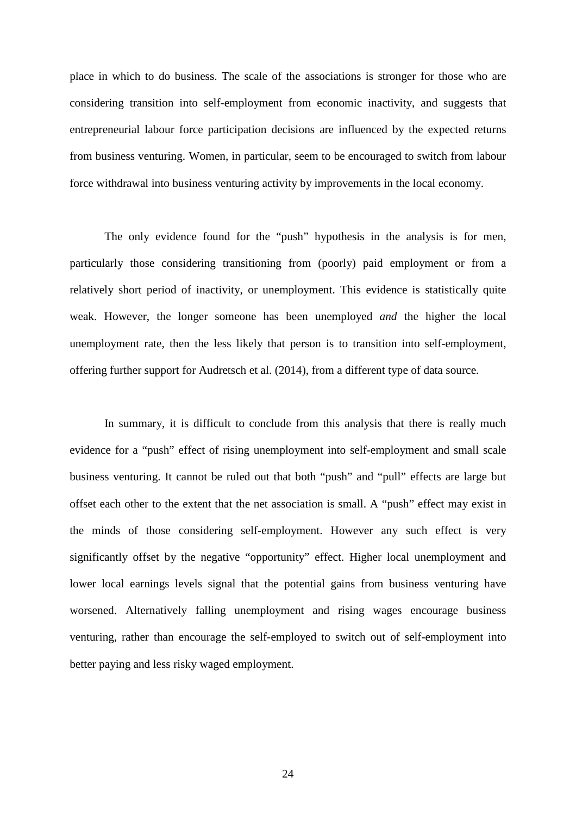place in which to do business. The scale of the associations is stronger for those who are considering transition into self-employment from economic inactivity, and suggests that entrepreneurial labour force participation decisions are influenced by the expected returns from business venturing. Women, in particular, seem to be encouraged to switch from labour force withdrawal into business venturing activity by improvements in the local economy.

The only evidence found for the "push" hypothesis in the analysis is for men, particularly those considering transitioning from (poorly) paid employment or from a relatively short period of inactivity, or unemployment. This evidence is statistically quite weak. However, the longer someone has been unemployed *and* the higher the local unemployment rate, then the less likely that person is to transition into self-employment, offering further support for Audretsch et al. (2014), from a different type of data source.

In summary, it is difficult to conclude from this analysis that there is really much evidence for a "push" effect of rising unemployment into self-employment and small scale business venturing. It cannot be ruled out that both "push" and "pull" effects are large but offset each other to the extent that the net association is small. A "push" effect may exist in the minds of those considering self-employment. However any such effect is very significantly offset by the negative "opportunity" effect. Higher local unemployment and lower local earnings levels signal that the potential gains from business venturing have worsened. Alternatively falling unemployment and rising wages encourage business venturing, rather than encourage the self-employed to switch out of self-employment into better paying and less risky waged employment.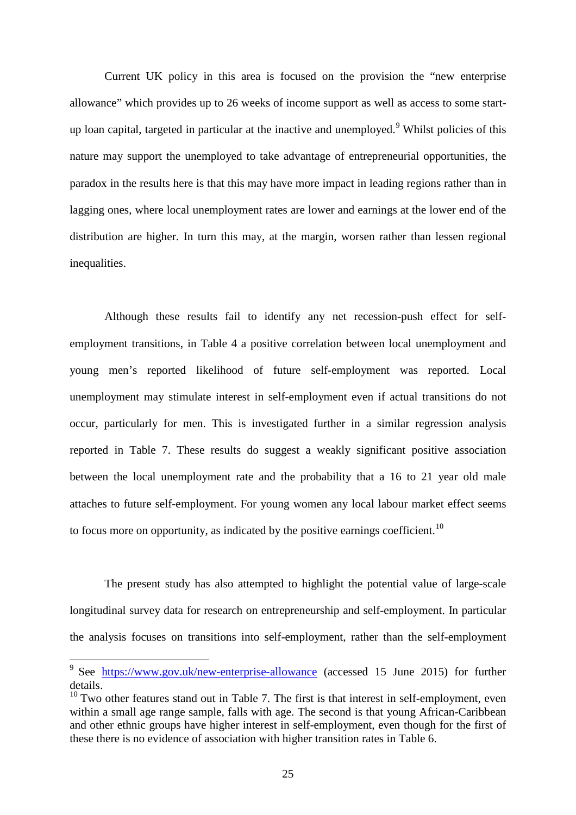Current UK policy in this area is focused on the provision the "new enterprise allowance" which provides up to 26 weeks of income support as well as access to some startup loan capital, targeted in particular at the inactive and unemployed. $9$  Whilst policies of this nature may support the unemployed to take advantage of entrepreneurial opportunities, the paradox in the results here is that this may have more impact in leading regions rather than in lagging ones, where local unemployment rates are lower and earnings at the lower end of the distribution are higher. In turn this may, at the margin, worsen rather than lessen regional inequalities.

Although these results fail to identify any net recession-push effect for selfemployment transitions, in Table 4 a positive correlation between local unemployment and young men's reported likelihood of future self-employment was reported. Local unemployment may stimulate interest in self-employment even if actual transitions do not occur, particularly for men. This is investigated further in a similar regression analysis reported in Table 7. These results do suggest a weakly significant positive association between the local unemployment rate and the probability that a 16 to 21 year old male attaches to future self-employment. For young women any local labour market effect seems to focus more on opportunity, as indicated by the positive earnings coefficient.<sup>[10](#page-27-0)</sup>

The present study has also attempted to highlight the potential value of large-scale longitudinal survey data for research on entrepreneurship and self-employment. In particular the analysis focuses on transitions into self-employment, rather than the self-employment

<sup>&</sup>lt;sup>9</sup> See <https://www.gov.uk/new-enterprise-allowance> (accessed 15 June 2015) for further details.

<span id="page-27-0"></span> $10$  Two other features stand out in Table 7. The first is that interest in self-employment, even within a small age range sample, falls with age. The second is that young African-Caribbean and other ethnic groups have higher interest in self-employment, even though for the first of these there is no evidence of association with higher transition rates in Table 6.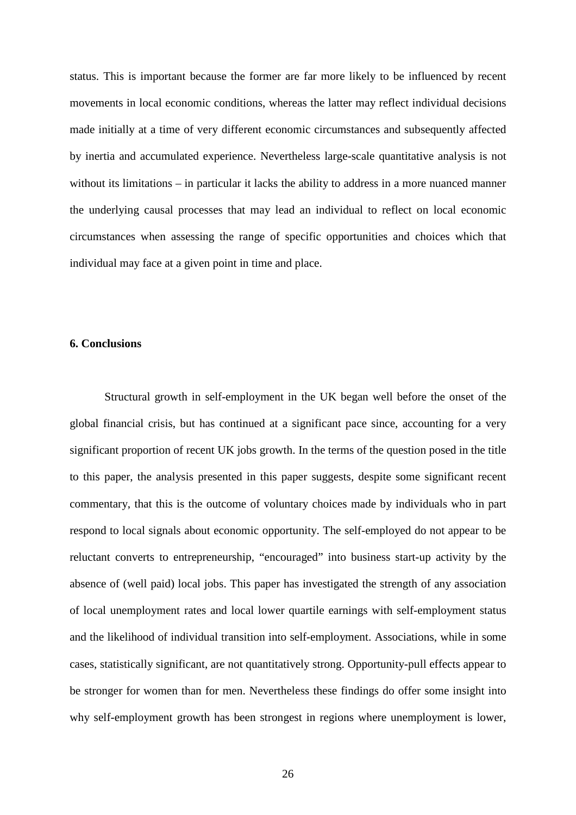status. This is important because the former are far more likely to be influenced by recent movements in local economic conditions, whereas the latter may reflect individual decisions made initially at a time of very different economic circumstances and subsequently affected by inertia and accumulated experience. Nevertheless large-scale quantitative analysis is not without its limitations – in particular it lacks the ability to address in a more nuanced manner the underlying causal processes that may lead an individual to reflect on local economic circumstances when assessing the range of specific opportunities and choices which that individual may face at a given point in time and place.

#### **6. Conclusions**

Structural growth in self-employment in the UK began well before the onset of the global financial crisis, but has continued at a significant pace since, accounting for a very significant proportion of recent UK jobs growth. In the terms of the question posed in the title to this paper, the analysis presented in this paper suggests, despite some significant recent commentary, that this is the outcome of voluntary choices made by individuals who in part respond to local signals about economic opportunity. The self-employed do not appear to be reluctant converts to entrepreneurship, "encouraged" into business start-up activity by the absence of (well paid) local jobs. This paper has investigated the strength of any association of local unemployment rates and local lower quartile earnings with self-employment status and the likelihood of individual transition into self-employment. Associations, while in some cases, statistically significant, are not quantitatively strong. Opportunity-pull effects appear to be stronger for women than for men. Nevertheless these findings do offer some insight into why self-employment growth has been strongest in regions where unemployment is lower,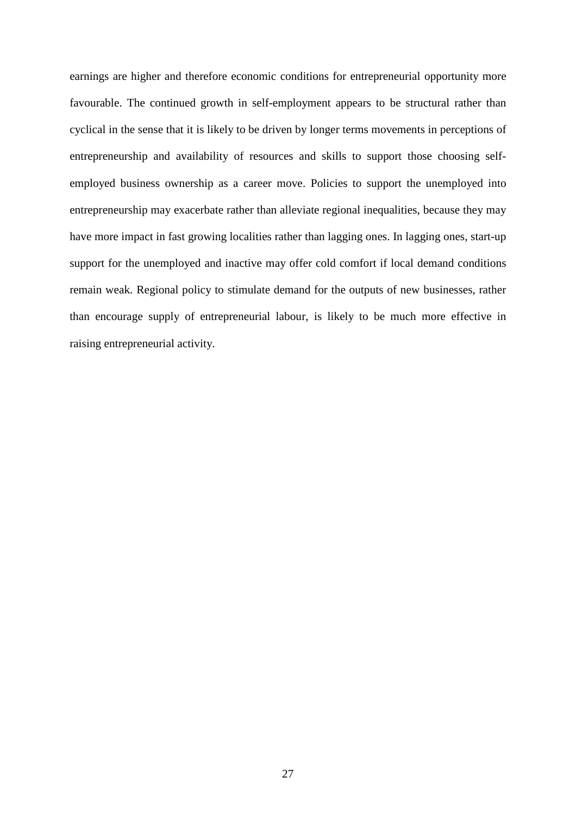earnings are higher and therefore economic conditions for entrepreneurial opportunity more favourable. The continued growth in self-employment appears to be structural rather than cyclical in the sense that it is likely to be driven by longer terms movements in perceptions of entrepreneurship and availability of resources and skills to support those choosing selfemployed business ownership as a career move. Policies to support the unemployed into entrepreneurship may exacerbate rather than alleviate regional inequalities, because they may have more impact in fast growing localities rather than lagging ones. In lagging ones, start-up support for the unemployed and inactive may offer cold comfort if local demand conditions remain weak. Regional policy to stimulate demand for the outputs of new businesses, rather than encourage supply of entrepreneurial labour, is likely to be much more effective in raising entrepreneurial activity.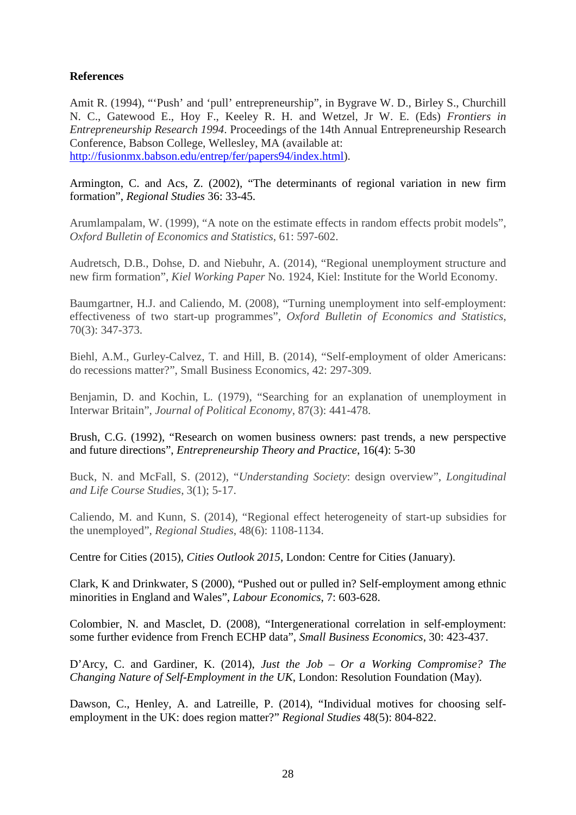#### **References**

Amit R. (1994), "'Push' and 'pull' entrepreneurship", in Bygrave W. D., Birley S., Churchill N. C., Gatewood E., Hoy F., Keeley R. H. and Wetzel, Jr W. E. (Eds) *Frontiers in Entrepreneurship Research 1994*. Proceedings of the 14th Annual Entrepreneurship Research Conference, Babson College, Wellesley, MA (available at: [http://fusionmx.babson.edu/entrep/fer/papers94/index.html\)](http://fusionmx.babson.edu/entrep/fer/papers94/index.html).

Armington, C. and Acs, Z. (2002), "The determinants of regional variation in new firm formation", *Regional Studies* 36: 33-45.

Arumlampalam, W. (1999), "A note on the estimate effects in random effects probit models", *Oxford Bulletin of Economics and Statistics*, 61: 597-602.

Audretsch, D.B., Dohse, D. and Niebuhr, A. (2014), "Regional unemployment structure and new firm formation", *Kiel Working Paper* No. 1924, Kiel: Institute for the World Economy.

Baumgartner, H.J. and Caliendo, M. (2008), "Turning unemployment into self-employment: effectiveness of two start-up programmes", *Oxford Bulletin of Economics and Statistics*, 70(3): 347-373.

Biehl, A.M., Gurley-Calvez, T. and Hill, B. (2014), "Self-employment of older Americans: do recessions matter?", Small Business Economics, 42: 297-309.

Benjamin, D. and Kochin, L. (1979), "Searching for an explanation of unemployment in Interwar Britain", *Journal of Political Economy*, 87(3): 441-478.

Brush, C.G. (1992), "Research on women business owners: past trends, a new perspective and future directions", *Entrepreneurship Theory and Practice*, 16(4): 5-30

Buck, N. and McFall, S. (2012), "*Understanding Society*: design overview", *Longitudinal and Life Course Studies*, 3(1); 5-17.

Caliendo, M. and Kunn, S. (2014), "Regional effect heterogeneity of start-up subsidies for the unemployed", *Regional Studies*, 48(6): 1108-1134.

Centre for Cities (2015), *Cities Outlook 2015*, London: Centre for Cities (January).

Clark, K and Drinkwater, S (2000), "Pushed out or pulled in? Self-employment among ethnic minorities in England and Wales", *Labour Economics*, 7: 603-628.

Colombier, N. and Masclet, D. (2008), "Intergenerational correlation in self-employment: some further evidence from French ECHP data", *Small Business Economics*, 30: 423-437.

D'Arcy, C. and Gardiner, K. (2014), *Just the Job – Or a Working Compromise? The Changing Nature of Self-Employment in the UK*, London: Resolution Foundation (May).

<span id="page-30-0"></span>Dawson, C., Henley, A. and Latreille, P. (2014), "Individual motives for choosing selfemployment in the UK: does region matter?" *Regional Studies* 48(5): 804-822.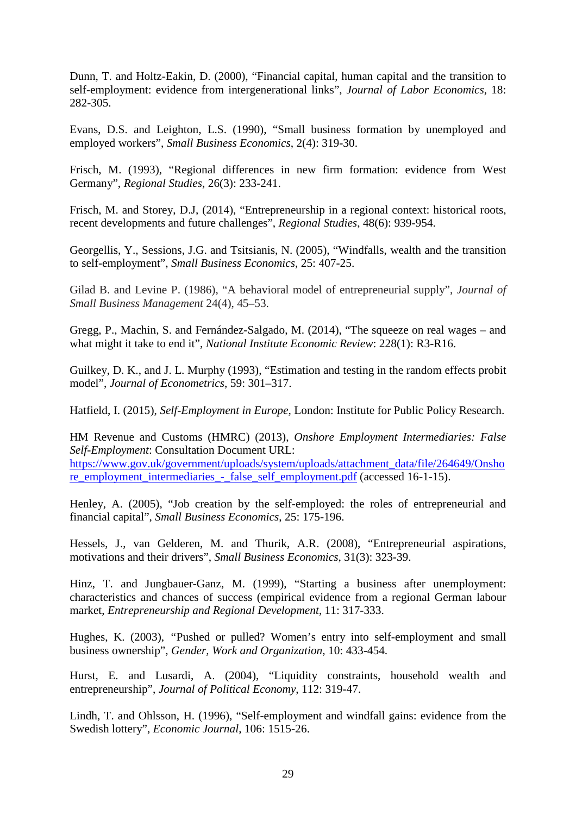Dunn, T. and Holtz-Eakin, D. (2000), "Financial capital, human capital and the transition to self-employment: evidence from intergenerational links", *Journal of Labor Economics*, 18: 282-305.

Evans, D.S. and Leighton, L.S. (1990), "Small business formation by unemployed and employed workers", *Small Business Economics*, 2(4): 319-30.

Frisch, M. (1993), "Regional differences in new firm formation: evidence from West Germany", *Regional Studies*, 26(3): 233-241.

Frisch, M. and Storey, D.J, (2014), "Entrepreneurship in a regional context: historical roots, recent developments and future challenges", *Regional Studies*, 48(6): 939-954.

Georgellis, Y., Sessions, J.G. and Tsitsianis, N. (2005), "Windfalls, wealth and the transition to self-employment", *Small Business Economics*, 25: 407-25.

Gilad B. and Levine P. (1986), "A behavioral model of entrepreneurial supply", *Journal of Small Business Management* 24(4), 45–53.

Gregg, P., Machin, S. and Fernández-Salgado, M. (2014), "The squeeze on real wages – and what might it take to end it", *National Institute Economic Review*: 228(1): R3-R16.

Guilkey, D. K., and J. L. Murphy (1993), "Estimation and testing in the random effects probit model", *Journal of Econometrics*, 59: 301–317.

Hatfield, I. (2015), *Self-Employment in Europe*, London: Institute for Public Policy Research.

HM Revenue and Customs (HMRC) (2013), *Onshore Employment Intermediaries: False Self-Employment*: Consultation Document URL:

[https://www.gov.uk/government/uploads/system/uploads/attachment\\_data/file/264649/Onsho](https://www.gov.uk/government/uploads/system/uploads/attachment_data/file/264649/Onshore_employment_intermediaries_-_false_self_employment.pdf) [re\\_employment\\_intermediaries\\_-\\_false\\_self\\_employment.pdf](https://www.gov.uk/government/uploads/system/uploads/attachment_data/file/264649/Onshore_employment_intermediaries_-_false_self_employment.pdf) (accessed 16-1-15).

Henley, A. (2005), "Job creation by the self-employed: the roles of entrepreneurial and financial capital", *Small Business Economics*, 25: 175-196.

Hessels, J., van Gelderen, M. and Thurik, A.R. (2008), "Entrepreneurial aspirations, motivations and their drivers", *Small Business Economics*, 31(3): 323-39.

Hinz, T. and Jungbauer-Ganz, M. (1999), "Starting a business after unemployment: characteristics and chances of success (empirical evidence from a regional German labour market, *Entrepreneurship and Regional Development*, 11: 317-333.

Hughes, K. (2003), *"*Pushed or pulled? Women's entry into self-employment and small business ownership", *Gender, Work and Organization*, 10: 433-454.

Hurst, E. and Lusardi, A. (2004), "Liquidity constraints, household wealth and entrepreneurship", *Journal of Political Economy*, 112: 319-47.

Lindh, T. and Ohlsson, H. (1996), "Self-employment and windfall gains: evidence from the Swedish lottery", *Economic Journal*, 106: 1515-26.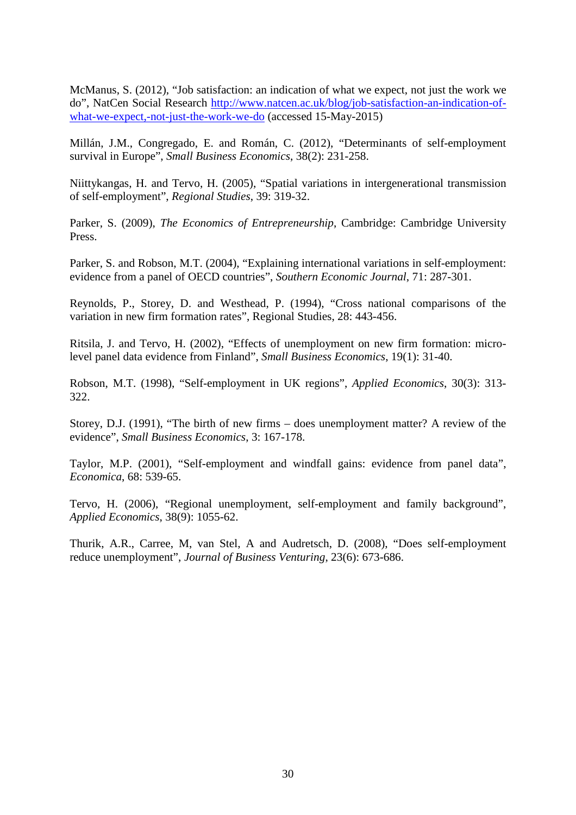McManus, S. (2012), "Job satisfaction: an indication of what we expect, not just the work we do", NatCen Social Research [http://www.natcen.ac.uk/blog/job-satisfaction-an-indication-of](http://www.natcen.ac.uk/blog/job-satisfaction-an-indication-of-what-we-expect,-not-just-the-work-we-do)[what-we-expect,-not-just-the-work-we-do](http://www.natcen.ac.uk/blog/job-satisfaction-an-indication-of-what-we-expect,-not-just-the-work-we-do) (accessed 15-May-2015)

Millán, J.M., Congregado, E. and Román, C. (2012), "Determinants of self-employment survival in Europe", *Small Business Economics*, 38(2): 231-258.

Niittykangas, H. and Tervo, H. (2005), "Spatial variations in intergenerational transmission of self-employment", *Regional Studies*, 39: 319-32.

Parker, S. (2009), *The Economics of Entrepreneurship*, Cambridge: Cambridge University Press.

Parker, S. and Robson, M.T. (2004), "Explaining international variations in self-employment: evidence from a panel of OECD countries", *Southern Economic Journal*, 71: 287-301.

Reynolds, P., Storey, D. and Westhead, P. (1994), "Cross national comparisons of the variation in new firm formation rates", Regional Studies, 28: 443-456.

Ritsila, J. and Tervo, H. (2002), "Effects of unemployment on new firm formation: microlevel panel data evidence from Finland", *Small Business Economics*, 19(1): 31-40.

Robson, M.T. (1998), "Self-employment in UK regions", *Applied Economics*, 30(3): 313- 322.

Storey, D.J. (1991), "The birth of new firms – does unemployment matter? A review of the evidence", *Small Business Economics*, 3: 167-178.

Taylor, M.P. (2001), "Self-employment and windfall gains: evidence from panel data", *Economica*, 68: 539-65.

Tervo, H. (2006), "Regional unemployment, self-employment and family background", *Applied Economics*, 38(9): 1055-62.

Thurik, A.R., Carree, M, van Stel, A and Audretsch, D. (2008), "Does self-employment reduce unemployment", *Journal of Business Venturing*, 23(6): 673-686.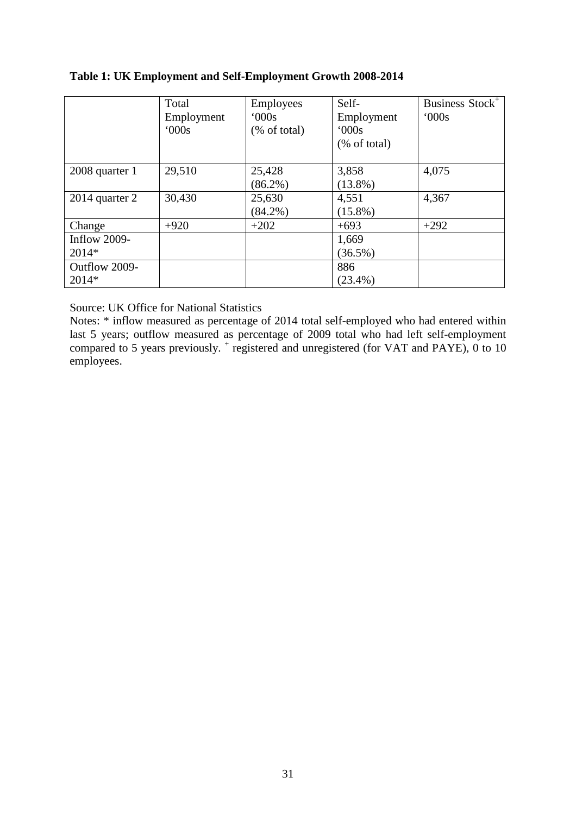#### **Table 1: UK Employment and Self-Employment Growth 2008-2014**

|                | Total      | <b>Employees</b>        | Self-        | Business Stock <sup>+</sup> |
|----------------|------------|-------------------------|--------------|-----------------------------|
|                | Employment | 000s                    | Employment   | 000s                        |
|                | 000s       | $(\% \text{ of total})$ | 000s         |                             |
|                |            |                         | (% of total) |                             |
|                |            |                         |              |                             |
| 2008 quarter 1 | 29,510     | 25,428                  | 3,858        | 4,075                       |
|                |            | $(86.2\%)$              | $(13.8\%)$   |                             |
| 2014 quarter 2 | 30,430     | 25,630                  | 4,551        | 4,367                       |
|                |            | $(84.2\%)$              | $(15.8\%)$   |                             |
| Change         | $+920$     | $+202$                  | $+693$       | $+292$                      |
| Inflow $2009-$ |            |                         | 1,669        |                             |
| 2014*          |            |                         | $(36.5\%)$   |                             |
| Outflow 2009-  |            |                         | 886          |                             |
| $2014*$        |            |                         | $(23.4\%)$   |                             |

Source: UK Office for National Statistics

Notes: \* inflow measured as percentage of 2014 total self-employed who had entered within last 5 years; outflow measured as percentage of 2009 total who had left self-employment compared to 5 years previously.  $^+$  registered and unregistered (for VAT and PAYE), 0 to 10 employees.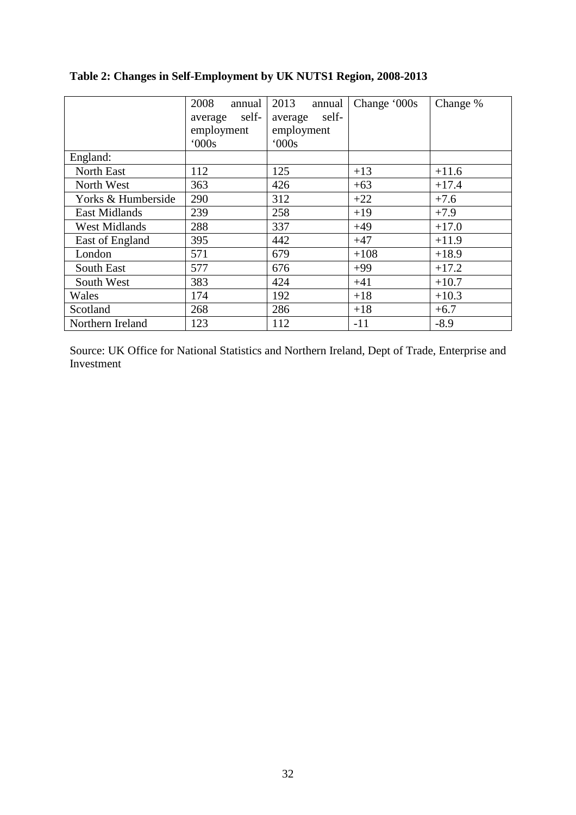|                      | 2008<br>annual<br>self-<br>average<br>employment<br>000s | 2013<br>annual<br>self-<br>average<br>employment<br>000s | Change '000s | Change % |
|----------------------|----------------------------------------------------------|----------------------------------------------------------|--------------|----------|
| England:             |                                                          |                                                          |              |          |
| North East           | 112                                                      | 125                                                      | $+13$        | $+11.6$  |
| North West           | 363                                                      | 426                                                      | $+63$        | $+17.4$  |
| Yorks & Humberside   | 290                                                      | 312                                                      | $+22$        | $+7.6$   |
| <b>East Midlands</b> | 239                                                      | 258                                                      | $+19$        | $+7.9$   |
| <b>West Midlands</b> | 288                                                      | 337                                                      | $+49$        | $+17.0$  |
| East of England      | 395                                                      | 442                                                      | $+47$        | $+11.9$  |
| London               | 571                                                      | 679                                                      | $+108$       | $+18.9$  |
| South East           | 577                                                      | 676                                                      | $+99$        | $+17.2$  |
| South West           | 383                                                      | 424                                                      | $+41$        | $+10.7$  |
| Wales                | 174                                                      | 192                                                      | $+18$        | $+10.3$  |
| Scotland             | 268                                                      | 286                                                      | $+18$        | $+6.7$   |
| Northern Ireland     | 123                                                      | 112                                                      | $-11$        | $-8.9$   |

### **Table 2: Changes in Self-Employment by UK NUTS1 Region, 2008-2013**

Source: UK Office for National Statistics and Northern Ireland, Dept of Trade, Enterprise and Investment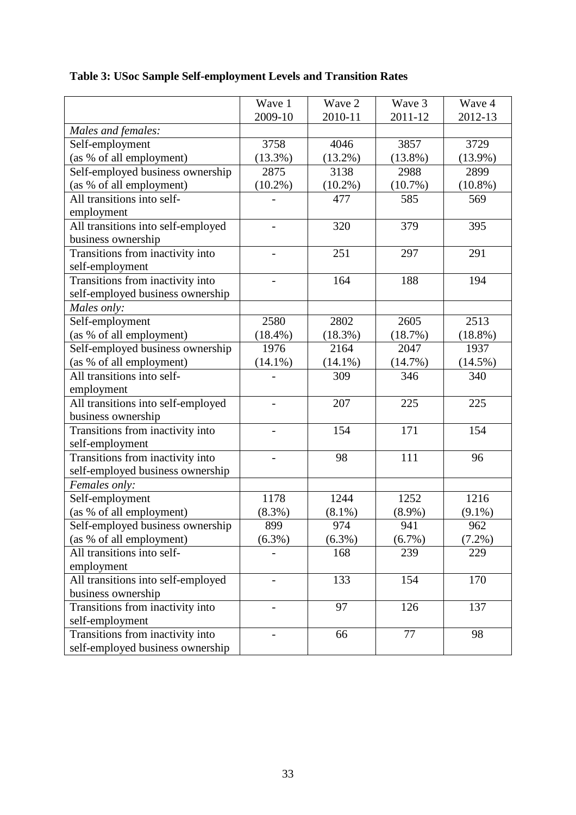|                                    | Wave 1     | Wave 2     | Wave 3     | Wave 4     |
|------------------------------------|------------|------------|------------|------------|
|                                    | 2009-10    | 2010-11    | 2011-12    | 2012-13    |
| Males and females:                 |            |            |            |            |
| Self-employment                    | 3758       | 4046       | 3857       | 3729       |
| (as % of all employment)           | $(13.3\%)$ | $(13.2\%)$ | $(13.8\%)$ | $(13.9\%)$ |
| Self-employed business ownership   | 2875       | 3138       | 2988       | 2899       |
| (as % of all employment)           | $(10.2\%)$ | $(10.2\%)$ | $(10.7\%)$ | $(10.8\%)$ |
| All transitions into self-         |            | 477        | 585        | 569        |
| employment                         |            |            |            |            |
| All transitions into self-employed |            | 320        | 379        | 395        |
| business ownership                 |            |            |            |            |
| Transitions from inactivity into   |            | 251        | 297        | 291        |
| self-employment                    |            |            |            |            |
| Transitions from inactivity into   |            | 164        | 188        | 194        |
| self-employed business ownership   |            |            |            |            |
| Males only:                        |            |            |            |            |
| Self-employment                    | 2580       | 2802       | 2605       | 2513       |
| (as % of all employment)           | $(18.4\%)$ | $(18.3\%)$ | (18.7%)    | $(18.8\%)$ |
| Self-employed business ownership   | 1976       | 2164       | 2047       | 1937       |
| (as % of all employment)           | $(14.1\%)$ | $(14.1\%)$ | (14.7%)    | $(14.5\%)$ |
| All transitions into self-         |            | 309        | 346        | 340        |
| employment                         |            |            |            |            |
| All transitions into self-employed |            | 207        | 225        | 225        |
| business ownership                 |            |            |            |            |
| Transitions from inactivity into   |            | 154        | 171        | 154        |
| self-employment                    |            |            |            |            |
| Transitions from inactivity into   |            | 98         | 111        | 96         |
| self-employed business ownership   |            |            |            |            |
| Females only:                      |            |            |            |            |
| Self-employment                    | 1178       | 1244       | 1252       | 1216       |
| (as % of all employment)           | (8.3%)     | $(8.1\%)$  | $(8.9\%)$  | $(9.1\%)$  |
| Self-employed business ownership   | 899        | 974        | 941        | 962        |
|                                    | $(6.3\%)$  | $(6.3\%)$  | (6.7%)     |            |
| (as % of all employment)           |            | 168        | 239        | $(7.2\%)$  |
| All transitions into self-         |            |            |            | 229        |
| employment                         |            |            |            |            |
| All transitions into self-employed |            | 133        | 154        | 170        |
| business ownership                 |            |            |            |            |
| Transitions from inactivity into   |            | 97         | 126        | 137        |
| self-employment                    |            |            |            |            |
| Transitions from inactivity into   |            | 66         | 77         | 98         |
| self-employed business ownership   |            |            |            |            |

# **Table 3: USoc Sample Self-employment Levels and Transition Rates**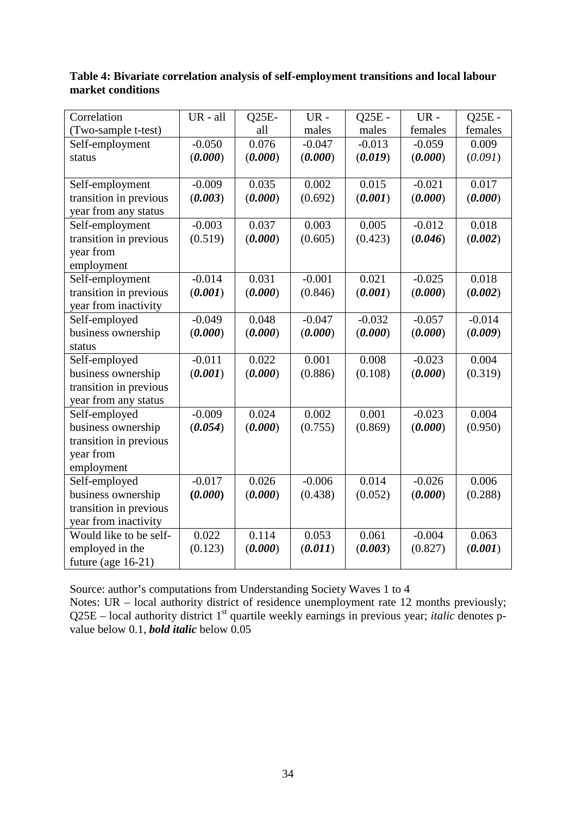| Correlation            | UR - all | $Q25E-$ | $UR -$   | $Q25E -$ | $UR -$   | $Q25E -$ |
|------------------------|----------|---------|----------|----------|----------|----------|
| (Two-sample t-test)    |          | all     | males    | males    | females  | females  |
| Self-employment        | $-0.050$ | 0.076   | $-0.047$ | $-0.013$ | $-0.059$ | 0.009    |
| status                 | (0.000)  | (0.000) | (0.000)  | (0.019)  | (0.000)  | (0.091)  |
|                        |          |         |          |          |          |          |
| Self-employment        | $-0.009$ | 0.035   | 0.002    | 0.015    | $-0.021$ | 0.017    |
| transition in previous | (0.003)  | (0.000) | (0.692)  | (0.001)  | (0.000)  | (0.000)  |
| year from any status   |          |         |          |          |          |          |
| Self-employment        | $-0.003$ | 0.037   | 0.003    | 0.005    | $-0.012$ | 0.018    |
| transition in previous | (0.519)  | (0.000) | (0.605)  | (0.423)  | (0.046)  | (0.002)  |
| year from              |          |         |          |          |          |          |
| employment             |          |         |          |          |          |          |
| Self-employment        | $-0.014$ | 0.031   | $-0.001$ | 0.021    | $-0.025$ | 0.018    |
| transition in previous | (0.001)  | (0.000) | (0.846)  | (0.001)  | (0.000)  | (0.002)  |
| year from inactivity   |          |         |          |          |          |          |
| Self-employed          | $-0.049$ | 0.048   | $-0.047$ | $-0.032$ | $-0.057$ | $-0.014$ |
| business ownership     | (0.000)  | (0.000) | (0.000)  | (0.000)  | (0.000)  | (0.009)  |
| status                 |          |         |          |          |          |          |
| Self-employed          | $-0.011$ | 0.022   | 0.001    | 0.008    | $-0.023$ | 0.004    |
| business ownership     | (0.001)  | (0.000) | (0.886)  | (0.108)  | (0.000)  | (0.319)  |
| transition in previous |          |         |          |          |          |          |
| year from any status   |          |         |          |          |          |          |
| Self-employed          | $-0.009$ | 0.024   | 0.002    | 0.001    | $-0.023$ | 0.004    |
| business ownership     | (0.054)  | (0.000) | (0.755)  | (0.869)  | (0.000)  | (0.950)  |
| transition in previous |          |         |          |          |          |          |
| year from              |          |         |          |          |          |          |
| employment             |          |         |          |          |          |          |
| Self-employed          | $-0.017$ | 0.026   | $-0.006$ | 0.014    | $-0.026$ | 0.006    |
| business ownership     | (0.000)  | (0.000) | (0.438)  | (0.052)  | (0.000)  | (0.288)  |
| transition in previous |          |         |          |          |          |          |
| year from inactivity   |          |         |          |          |          |          |
| Would like to be self- | 0.022    | 0.114   | 0.053    | 0.061    | $-0.004$ | 0.063    |
| employed in the        | (0.123)  | (0.000) | (0.011)  | (0.003)  | (0.827)  | (0.001)  |
| future (age $16-21$ )  |          |         |          |          |          |          |

#### **Table 4: Bivariate correlation analysis of self-employment transitions and local labour market conditions**

Source: author's computations from Understanding Society Waves 1 to 4

Notes: UR – local authority district of residence unemployment rate 12 months previously; Q25E – local authority district 1<sup>st</sup> quartile weekly earnings in previous year; *italic* denotes pvalue below 0.1, *bold italic* below 0.05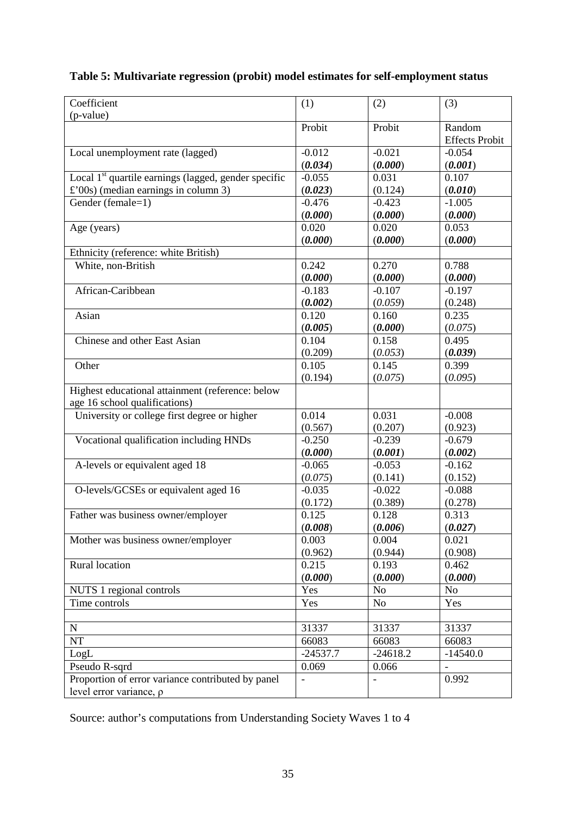| Coefficient                                                      | (1)        | (2)            | (3)                   |
|------------------------------------------------------------------|------------|----------------|-----------------------|
| (p-value)                                                        |            |                |                       |
|                                                                  | Probit     | Probit         | Random                |
|                                                                  |            |                | <b>Effects Probit</b> |
| Local unemployment rate (lagged)                                 | $-0.012$   | $-0.021$       | $-0.054$              |
|                                                                  | (0.034)    | (0.000)        | (0.001)               |
| Local 1 <sup>st</sup> quartile earnings (lagged, gender specific | $-0.055$   | 0.031          | 0.107                 |
| $\pounds$ '00s) (median earnings in column 3)                    | (0.023)    | (0.124)        | (0.010)               |
| Gender (female=1)                                                | $-0.476$   | $-0.423$       | $-1.005$              |
|                                                                  | (0.000)    | (0.000)        | (0.000)               |
| Age (years)                                                      | 0.020      | 0.020          | 0.053                 |
|                                                                  | (0.000)    | (0.000)        | (0.000)               |
| Ethnicity (reference: white British)                             |            |                |                       |
| White, non-British                                               | 0.242      | 0.270          | 0.788                 |
|                                                                  | (0.000)    | (0.000)        | (0.000)               |
| African-Caribbean                                                | $-0.183$   | $-0.107$       | $-0.197$              |
|                                                                  | (0.002)    | (0.059)        | (0.248)               |
| Asian                                                            | 0.120      | 0.160          | 0.235                 |
|                                                                  | (0.005)    | (0.000)        | (0.075)               |
| Chinese and other East Asian                                     | 0.104      | 0.158          | 0.495                 |
|                                                                  | (0.209)    | (0.053)        | (0.039)               |
| Other                                                            | 0.105      | 0.145          | 0.399                 |
|                                                                  | (0.194)    | (0.075)        | (0.095)               |
| Highest educational attainment (reference: below                 |            |                |                       |
| age 16 school qualifications)                                    |            |                |                       |
| University or college first degree or higher                     | 0.014      | 0.031          | $-0.008$              |
|                                                                  | (0.567)    | (0.207)        | (0.923)               |
| Vocational qualification including HNDs                          | $-0.250$   | $-0.239$       | $-0.679$              |
|                                                                  | (0.000)    | (0.001)        | (0.002)               |
| A-levels or equivalent aged 18                                   | $-0.065$   | $-0.053$       | $-0.162$              |
|                                                                  | (0.075)    | (0.141)        | (0.152)               |
| O-levels/GCSEs or equivalent aged 16                             | $-0.035$   | $-0.022$       | $-0.088$              |
|                                                                  | (0.172)    | (0.389)        | (0.278)               |
| Father was business owner/employer                               | 0.125      | 0.128          | 0.313                 |
|                                                                  | (0.008)    | (0.006)        | (0.027)               |
| Mother was business owner/employer                               | 0.003      | 0.004          | 0.021                 |
|                                                                  | (0.962)    | (0.944)        | (0.908)               |
| Rural location                                                   | 0.215      | 0.193          | 0.462                 |
|                                                                  | (0.000)    | (0.000)        | (0.000)               |
| NUTS 1 regional controls                                         | Yes        | N <sub>o</sub> | No                    |
| Time controls                                                    | Yes        | No             | Yes                   |
|                                                                  |            |                |                       |
| ${\bf N}$                                                        | 31337      | 31337          | 31337                 |
| <b>NT</b>                                                        | 66083      | 66083          | 66083                 |
| LogL                                                             | $-24537.7$ | $-24618.2$     | $-14540.0$            |
| Pseudo R-sqrd                                                    | 0.069      | 0.066          |                       |
| Proportion of error variance contributed by panel                |            |                | 0.992                 |
| level error variance, $\rho$                                     |            |                |                       |

### **Table 5: Multivariate regression (probit) model estimates for self-employment status**

Source: author's computations from Understanding Society Waves 1 to 4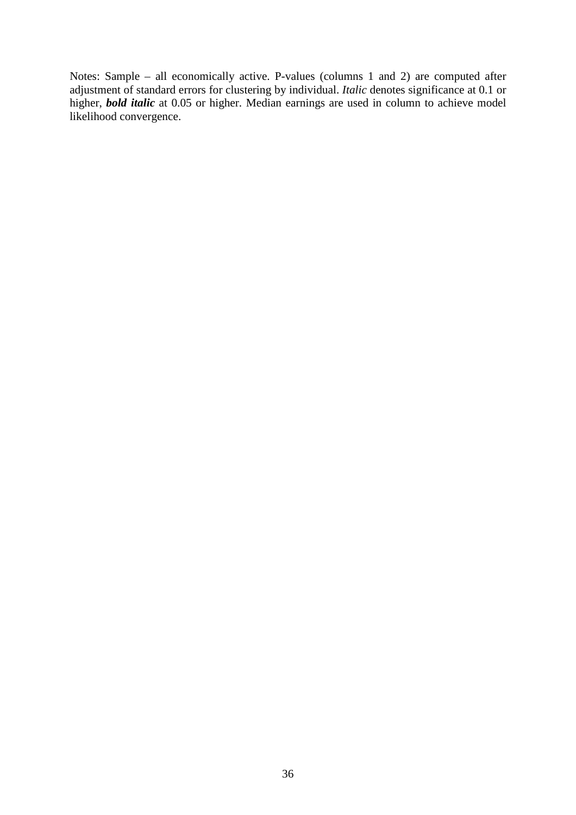Notes: Sample – all economically active. P-values (columns 1 and 2) are computed after adjustment of standard errors for clustering by individual. *Italic* denotes significance at 0.1 or higher, *bold italic* at 0.05 or higher. Median earnings are used in column to achieve model likelihood convergence.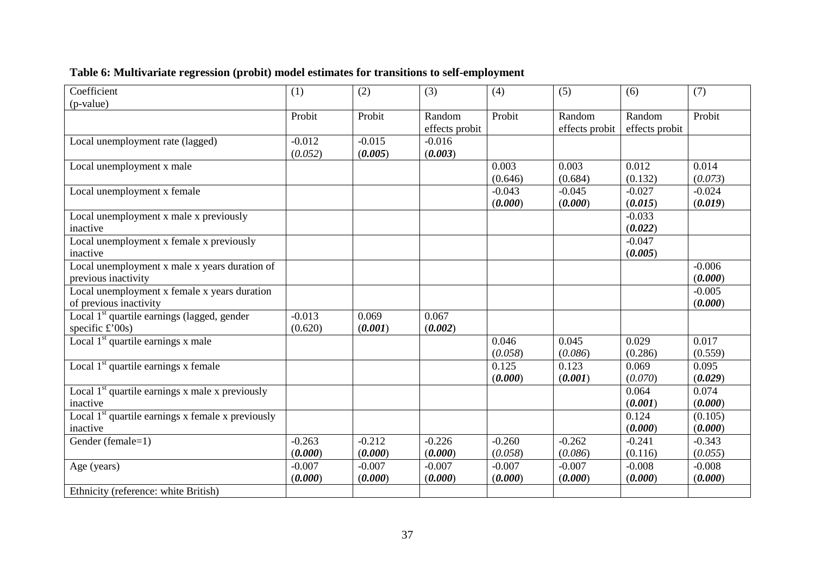# **Table 6: Multivariate regression (probit) model estimates for transitions to self-employment**

| Coefficient                                                   | (1)      | (2)      | (3)            | (4)      | (5)            | (6)            | (7)      |
|---------------------------------------------------------------|----------|----------|----------------|----------|----------------|----------------|----------|
| (p-value)                                                     |          |          |                |          |                |                |          |
|                                                               | Probit   | Probit   | Random         | Probit   | Random         | Random         | Probit   |
|                                                               |          |          | effects probit |          | effects probit | effects probit |          |
| Local unemployment rate (lagged)                              | $-0.012$ | $-0.015$ | $-0.016$       |          |                |                |          |
|                                                               | (0.052)  | (0.005)  | (0.003)        |          |                |                |          |
| Local unemployment x male                                     |          |          |                | 0.003    | 0.003          | 0.012          | 0.014    |
|                                                               |          |          |                | (0.646)  | (0.684)        | (0.132)        | (0.073)  |
| Local unemployment x female                                   |          |          |                | $-0.043$ | $-0.045$       | $-0.027$       | $-0.024$ |
|                                                               |          |          |                | (0.000)  | (0.000)        | (0.015)        | (0.019)  |
| Local unemployment x male x previously                        |          |          |                |          |                | $-0.033$       |          |
| inactive                                                      |          |          |                |          |                | (0.022)        |          |
| Local unemployment x female x previously                      |          |          |                |          |                | $-0.047$       |          |
| inactive                                                      |          |          |                |          |                | (0.005)        |          |
| Local unemployment x male x years duration of                 |          |          |                |          |                |                | $-0.006$ |
| previous inactivity                                           |          |          |                |          |                |                | (0.000)  |
| Local unemployment x female x years duration                  |          |          |                |          |                |                | $-0.005$ |
| of previous inactivity                                        |          |          |                |          |                |                | (0.000)  |
| Local 1 <sup>st</sup> quartile earnings (lagged, gender       | $-0.013$ | 0.069    | 0.067          |          |                |                |          |
| specific $\pounds$ '00s)                                      | (0.620)  | (0.001)  | (0.002)        |          |                |                |          |
| Local 1 <sup>st</sup> quartile earnings x male                |          |          |                | 0.046    | 0.045          | 0.029          | 0.017    |
|                                                               |          |          |                | (0.058)  | (0.086)        | (0.286)        | (0.559)  |
| Local $1st$ quartile earnings x female                        |          |          |                | 0.125    | 0.123          | 0.069          | 0.095    |
|                                                               |          |          |                | (0.000)  | (0.001)        | (0.070)        | (0.029)  |
| Local $1st$ quartile earnings x male x previously             |          |          |                |          |                | 0.064          | 0.074    |
| inactive                                                      |          |          |                |          |                | (0.001)        | (0.000)  |
| Local 1 <sup>st</sup> quartile earnings x female x previously |          |          |                |          |                | 0.124          | (0.105)  |
| inactive                                                      |          |          |                |          |                | (0.000)        | (0.000)  |
| Gender (female=1)                                             | $-0.263$ | $-0.212$ | $-0.226$       | $-0.260$ | $-0.262$       | $-0.241$       | $-0.343$ |
|                                                               | (0.000)  | (0.000)  | (0.000)        | (0.058)  | (0.086)        | (0.116)        | (0.055)  |
| Age (years)                                                   | $-0.007$ | $-0.007$ | $-0.007$       | $-0.007$ | $-0.007$       | $-0.008$       | $-0.008$ |
|                                                               | (0.000)  | (0.000)  | (0.000)        | (0.000)  | (0.000)        | (0.000)        | (0.000)  |
| Ethnicity (reference: white British)                          |          |          |                |          |                |                |          |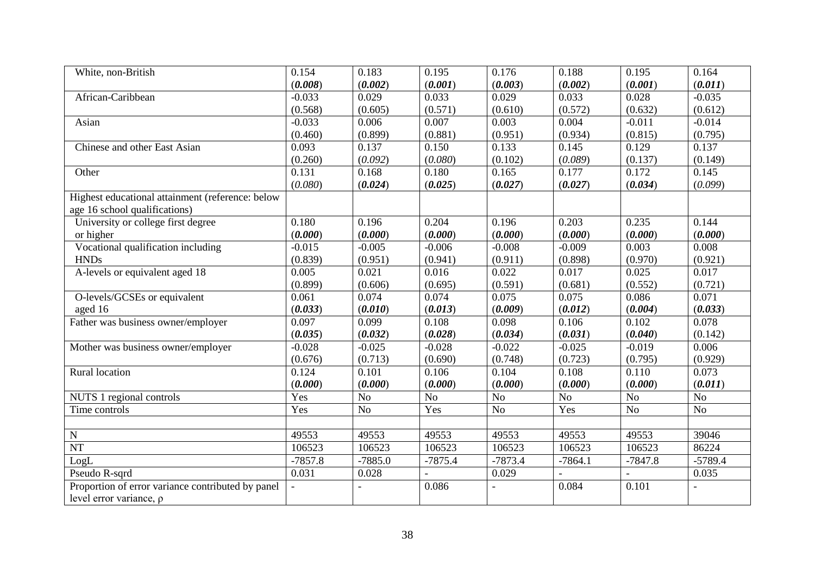| White, non-British                                | 0.154     | 0.183          | 0.195          | 0.176     | 0.188     | 0.195          | 0.164          |
|---------------------------------------------------|-----------|----------------|----------------|-----------|-----------|----------------|----------------|
|                                                   | (0.008)   | (0.002)        | (0.001)        | (0.003)   | (0.002)   | (0.001)        | (0.011)        |
| African-Caribbean                                 | $-0.033$  | 0.029          | 0.033          | 0.029     | 0.033     | 0.028          | $-0.035$       |
|                                                   | (0.568)   | (0.605)        | (0.571)        | (0.610)   | (0.572)   | (0.632)        | (0.612)        |
| Asian                                             | $-0.033$  | 0.006          | 0.007          | 0.003     | 0.004     | $-0.011$       | $-0.014$       |
|                                                   | (0.460)   | (0.899)        | (0.881)        | (0.951)   | (0.934)   | (0.815)        | (0.795)        |
| Chinese and other East Asian                      | 0.093     | 0.137          | 0.150          | 0.133     | 0.145     | 0.129          | 0.137          |
|                                                   | (0.260)   | (0.092)        | (0.080)        | (0.102)   | (0.089)   | (0.137)        | (0.149)        |
| Other                                             | 0.131     | 0.168          | 0.180          | 0.165     | 0.177     | 0.172          | 0.145          |
|                                                   | (0.080)   | (0.024)        | (0.025)        | (0.027)   | (0.027)   | (0.034)        | (0.099)        |
| Highest educational attainment (reference: below  |           |                |                |           |           |                |                |
| age 16 school qualifications)                     |           |                |                |           |           |                |                |
| University or college first degree                | 0.180     | 0.196          | 0.204          | 0.196     | 0.203     | 0.235          | 0.144          |
| or higher                                         | (0.000)   | (0.000)        | (0.000)        | (0.000)   | (0.000)   | (0.000)        | (0.000)        |
| Vocational qualification including                | $-0.015$  | $-0.005$       | $-0.006$       | $-0.008$  | $-0.009$  | 0.003          | 0.008          |
| <b>HNDs</b>                                       | (0.839)   | (0.951)        | (0.941)        | (0.911)   | (0.898)   | (0.970)        | (0.921)        |
| A-levels or equivalent aged 18                    | 0.005     | 0.021          | 0.016          | 0.022     | 0.017     | 0.025          | 0.017          |
|                                                   | (0.899)   | (0.606)        | (0.695)        | (0.591)   | (0.681)   | (0.552)        | (0.721)        |
| O-levels/GCSEs or equivalent                      | 0.061     | 0.074          | 0.074          | 0.075     | 0.075     | 0.086          | 0.071          |
| aged 16                                           | (0.033)   | (0.010)        | (0.013)        | (0.009)   | (0.012)   | (0.004)        | (0.033)        |
| Father was business owner/employer                | 0.097     | 0.099          | 0.108          | 0.098     | 0.106     | 0.102          | 0.078          |
|                                                   | (0.035)   | (0.032)        | (0.028)        | (0.034)   | (0.031)   | (0.040)        | (0.142)        |
| Mother was business owner/employer                | $-0.028$  | $-0.025$       | $-0.028$       | $-0.022$  | $-0.025$  | $-0.019$       | 0.006          |
|                                                   | (0.676)   | (0.713)        | (0.690)        | (0.748)   | (0.723)   | (0.795)        | (0.929)        |
| Rural location                                    | 0.124     | 0.101          | 0.106          | 0.104     | 0.108     | 0.110          | 0.073          |
|                                                   | (0.000)   | (0.000)        | (0.000)        | (0.000)   | (0.000)   | (0.000)        | (0.011)        |
| NUTS 1 regional controls                          | Yes       | N <sub>o</sub> | N <sub>o</sub> | No        | No        | N <sub>o</sub> | N <sub>o</sub> |
| Time controls                                     | Yes       | N <sub>o</sub> | Yes            | No        | Yes       | No             | No             |
|                                                   |           |                |                |           |           |                |                |
| ${\bf N}$                                         | 49553     | 49553          | 49553          | 49553     | 49553     | 49553          | 39046          |
| <b>NT</b>                                         | 106523    | 106523         | 106523         | 106523    | 106523    | 106523         | 86224          |
| LogL                                              | $-7857.8$ | $-7885.0$      | $-7875.4$      | $-7873.4$ | $-7864.1$ | $-7847.8$      | $-5789.4$      |
| Pseudo R-sqrd                                     | 0.031     | 0.028          |                | 0.029     |           |                | 0.035          |
| Proportion of error variance contributed by panel |           |                | 0.086          |           | 0.084     | 0.101          |                |
| level error variance, $\rho$                      |           |                |                |           |           |                |                |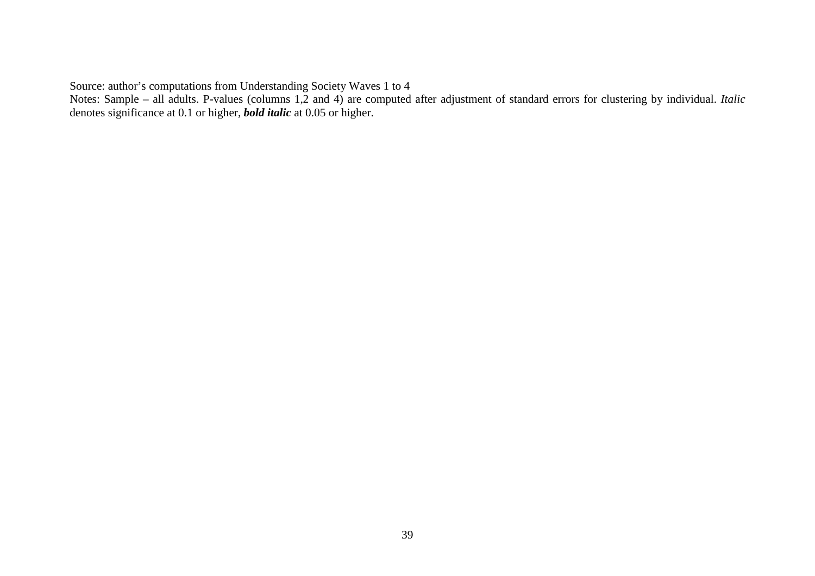Source: author's computations from Understanding Society Waves 1 to 4

Notes: Sample – all adults. P-values (columns 1,2 and 4) are computed after adjustment of standard errors for clustering by individual. *Italic* denotes significance at 0.1 or higher, *bold italic* at 0.05 or higher.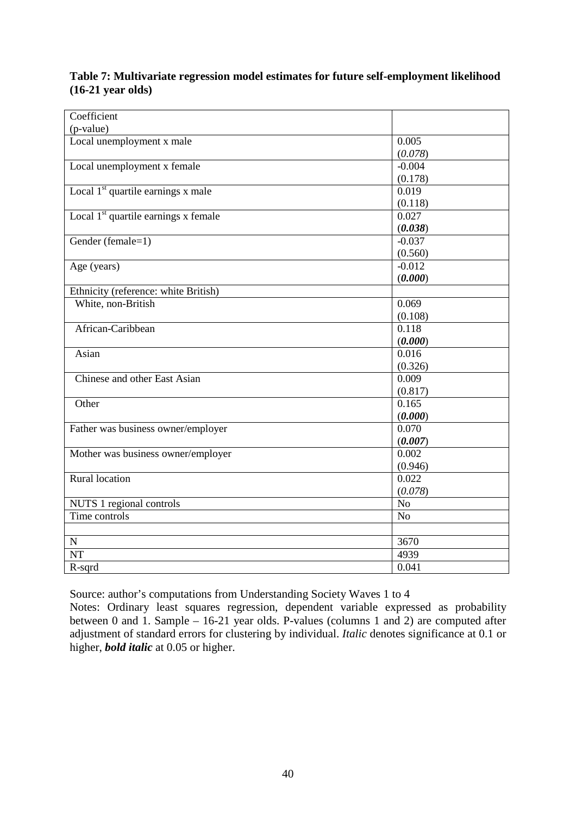#### **Table 7: Multivariate regression model estimates for future self-employment likelihood (16-21 year olds)**

| Coefficient                            |                |
|----------------------------------------|----------------|
|                                        |                |
| (p-value)<br>Local unemployment x male | 0.005          |
|                                        |                |
|                                        | (0.078)        |
| Local unemployment x female            | $-0.004$       |
|                                        | (0.178)        |
| Local $1st$ quartile earnings x male   | 0.019          |
|                                        | (0.118)        |
| Local $1st$ quartile earnings x female | 0.027          |
|                                        | (0.038)        |
| Gender (female=1)                      | $-0.037$       |
|                                        | (0.560)        |
| Age (years)                            | $-0.012$       |
|                                        | (0.000)        |
| Ethnicity (reference: white British)   |                |
| White, non-British                     | 0.069          |
|                                        | (0.108)        |
| African-Caribbean                      | 0.118          |
|                                        | (0.000)        |
| Asian                                  | 0.016          |
|                                        | (0.326)        |
| Chinese and other East Asian           | 0.009          |
|                                        | (0.817)        |
| Other                                  | 0.165          |
|                                        | (0.000)        |
| Father was business owner/employer     | 0.070          |
|                                        | (0.007)        |
| Mother was business owner/employer     | 0.002          |
|                                        | (0.946)        |
| <b>Rural</b> location                  | 0.022          |
|                                        | (0.078)        |
| NUTS 1 regional controls               | No             |
| Time controls                          | N <sub>o</sub> |
|                                        |                |
| $\mathbf N$                            | 3670           |
| $\overline{\text{NT}}$                 | 4939           |
|                                        | 0.041          |
| R-sqrd                                 |                |

Source: author's computations from Understanding Society Waves 1 to 4

Notes: Ordinary least squares regression, dependent variable expressed as probability between 0 and 1. Sample – 16-21 year olds. P-values (columns 1 and 2) are computed after adjustment of standard errors for clustering by individual. *Italic* denotes significance at 0.1 or higher, *bold italic* at 0.05 or higher.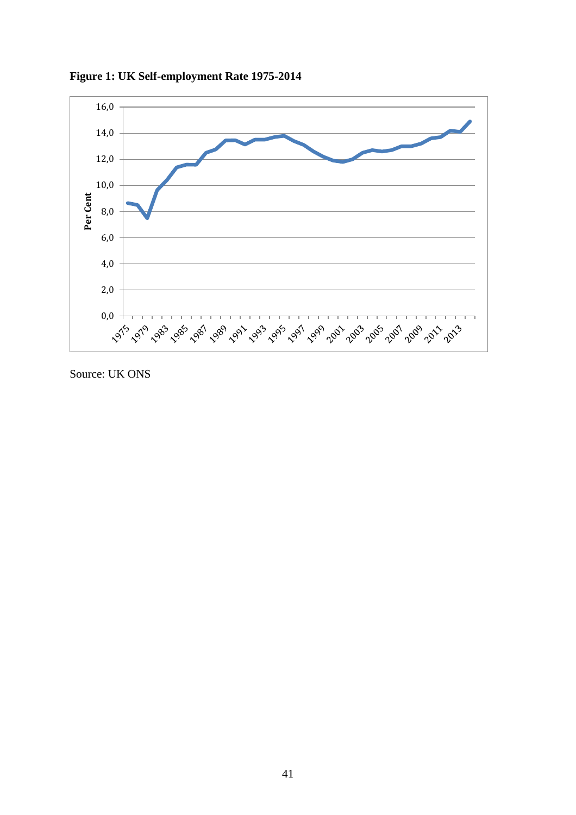

**Figure 1: UK Self-employment Rate 1975-2014**

Source: UK ONS